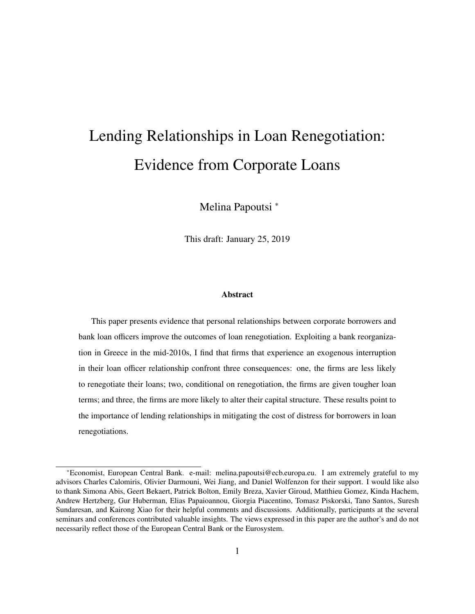# Lending Relationships in Loan Renegotiation: Evidence from Corporate Loans

Melina Papoutsi <sup>∗</sup>

This draft: January 25, 2019

#### Abstract

This paper presents evidence that personal relationships between corporate borrowers and bank loan officers improve the outcomes of loan renegotiation. Exploiting a bank reorganization in Greece in the mid-2010s, I find that firms that experience an exogenous interruption in their loan officer relationship confront three consequences: one, the firms are less likely to renegotiate their loans; two, conditional on renegotiation, the firms are given tougher loan terms; and three, the firms are more likely to alter their capital structure. These results point to the importance of lending relationships in mitigating the cost of distress for borrowers in loan renegotiations.

<sup>∗</sup>Economist, European Central Bank. e-mail: melina.papoutsi@ecb.europa.eu. I am extremely grateful to my advisors Charles Calomiris, Olivier Darmouni, Wei Jiang, and Daniel Wolfenzon for their support. I would like also to thank Simona Abis, Geert Bekaert, Patrick Bolton, Emily Breza, Xavier Giroud, Matthieu Gomez, Kinda Hachem, Andrew Hertzberg, Gur Huberman, Elias Papaioannou, Giorgia Piacentino, Tomasz Piskorski, Tano Santos, Suresh Sundaresan, and Kairong Xiao for their helpful comments and discussions. Additionally, participants at the several seminars and conferences contributed valuable insights. The views expressed in this paper are the author's and do not necessarily reflect those of the European Central Bank or the Eurosystem.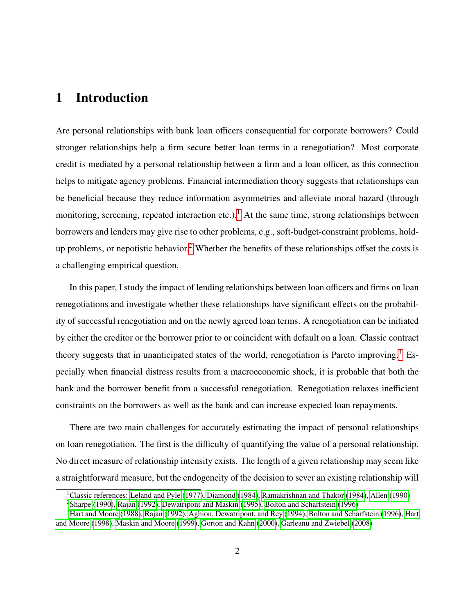# 1 Introduction

Are personal relationships with bank loan officers consequential for corporate borrowers? Could stronger relationships help a firm secure better loan terms in a renegotiation? Most corporate credit is mediated by a personal relationship between a firm and a loan officer, as this connection helps to mitigate agency problems. Financial intermediation theory suggests that relationships can be beneficial because they reduce information asymmetries and alleviate moral hazard (through monitoring, screening, repeated interaction etc.).<sup>[1](#page-1-0)</sup> At the same time, strong relationships between borrowers and lenders may give rise to other problems, e.g., soft-budget-constraint problems, hold-up problems, or nepotistic behavior.<sup>[2](#page-1-1)</sup> Whether the benefits of these relationships offset the costs is a challenging empirical question.

In this paper, I study the impact of lending relationships between loan officers and firms on loan renegotiations and investigate whether these relationships have significant effects on the probability of successful renegotiation and on the newly agreed loan terms. A renegotiation can be initiated by either the creditor or the borrower prior to or coincident with default on a loan. Classic contract theory suggests that in unanticipated states of the world, renegotiation is Pareto improving.<sup>[3](#page-1-2)</sup> Especially when financial distress results from a macroeconomic shock, it is probable that both the bank and the borrower benefit from a successful renegotiation. Renegotiation relaxes inefficient constraints on the borrowers as well as the bank and can increase expected loan repayments.

There are two main challenges for accurately estimating the impact of personal relationships on loan renegotiation. The first is the difficulty of quantifying the value of a personal relationship. No direct measure of relationship intensity exists. The length of a given relationship may seem like a straightforward measure, but the endogeneity of the decision to sever an existing relationship will

<span id="page-1-0"></span><sup>&</sup>lt;sup>1</sup>Classic references: [Leland and Pyle](#page-33-0) [\(1977\)](#page-33-0), [Diamond](#page-32-0) [\(1984\)](#page-34-0), [Ramakrishnan and Thakor](#page-34-0) (1984), [Allen](#page-31-0) [\(1990\)](#page-31-0) <sup>2</sup>[Sharpe](#page-34-1) [\(1990\)](#page-34-1), [Rajan](#page-34-2) [\(1992\)](#page-34-2), [Dewatripont and Maskin](#page-32-1) [\(1995\)](#page-32-1), [Bolton and Scharfstein](#page-31-1) [\(1996\)](#page-31-1)

<span id="page-1-2"></span><span id="page-1-1"></span>

<sup>3</sup>[Hart and Moore](#page-32-2) [\(1988\)](#page-32-2), [Rajan](#page-34-2) [\(1992\)](#page-34-2), [Aghion, Dewatripont, and Rey](#page-31-2) [\(1994\)](#page-31-2), [Bolton and Scharfstein](#page-31-1) [\(1996\)](#page-31-1), [Hart](#page-33-1) [and Moore](#page-33-1) [\(1998\)](#page-33-1), [Maskin and Moore](#page-33-2) [\(1999\)](#page-33-2), [Gorton and Kahn](#page-32-3) [\(2000\)](#page-32-3), [Garleanu and Zwiebel](#page-32-4) [\(2008\)](#page-32-4)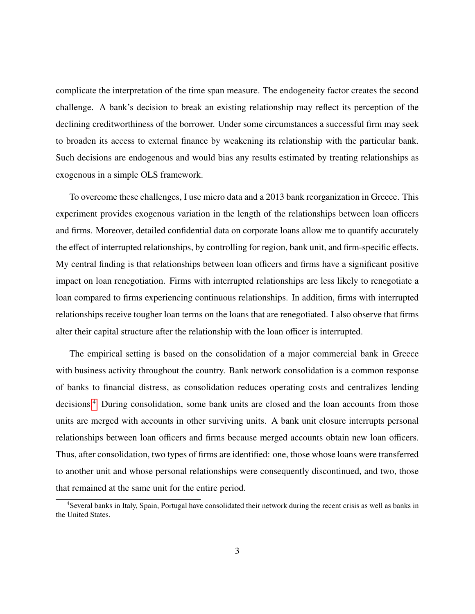complicate the interpretation of the time span measure. The endogeneity factor creates the second challenge. A bank's decision to break an existing relationship may reflect its perception of the declining creditworthiness of the borrower. Under some circumstances a successful firm may seek to broaden its access to external finance by weakening its relationship with the particular bank. Such decisions are endogenous and would bias any results estimated by treating relationships as exogenous in a simple OLS framework.

To overcome these challenges, I use micro data and a 2013 bank reorganization in Greece. This experiment provides exogenous variation in the length of the relationships between loan officers and firms. Moreover, detailed confidential data on corporate loans allow me to quantify accurately the effect of interrupted relationships, by controlling for region, bank unit, and firm-specific effects. My central finding is that relationships between loan officers and firms have a significant positive impact on loan renegotiation. Firms with interrupted relationships are less likely to renegotiate a loan compared to firms experiencing continuous relationships. In addition, firms with interrupted relationships receive tougher loan terms on the loans that are renegotiated. I also observe that firms alter their capital structure after the relationship with the loan officer is interrupted.

The empirical setting is based on the consolidation of a major commercial bank in Greece with business activity throughout the country. Bank network consolidation is a common response of banks to financial distress, as consolidation reduces operating costs and centralizes lending decisions.[4](#page-2-0) During consolidation, some bank units are closed and the loan accounts from those units are merged with accounts in other surviving units. A bank unit closure interrupts personal relationships between loan officers and firms because merged accounts obtain new loan officers. Thus, after consolidation, two types of firms are identified: one, those whose loans were transferred to another unit and whose personal relationships were consequently discontinued, and two, those that remained at the same unit for the entire period.

<span id="page-2-0"></span><sup>&</sup>lt;sup>4</sup>Several banks in Italy, Spain, Portugal have consolidated their network during the recent crisis as well as banks in the United States.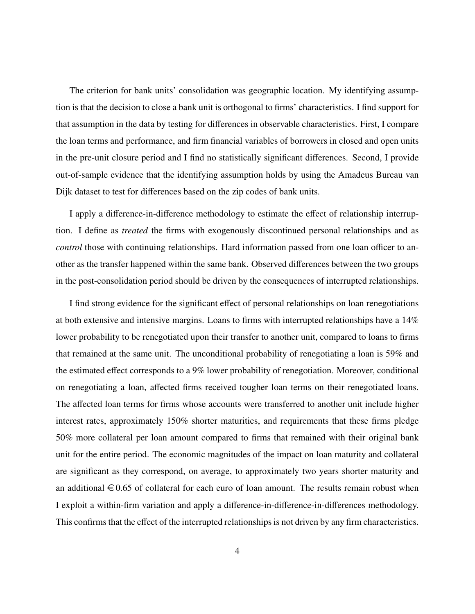The criterion for bank units' consolidation was geographic location. My identifying assumption is that the decision to close a bank unit is orthogonal to firms' characteristics. I find support for that assumption in the data by testing for differences in observable characteristics. First, I compare the loan terms and performance, and firm financial variables of borrowers in closed and open units in the pre-unit closure period and I find no statistically significant differences. Second, I provide out-of-sample evidence that the identifying assumption holds by using the Amadeus Bureau van Dijk dataset to test for differences based on the zip codes of bank units.

I apply a difference-in-difference methodology to estimate the effect of relationship interruption. I define as *treated* the firms with exogenously discontinued personal relationships and as *control* those with continuing relationships. Hard information passed from one loan officer to another as the transfer happened within the same bank. Observed differences between the two groups in the post-consolidation period should be driven by the consequences of interrupted relationships.

I find strong evidence for the significant effect of personal relationships on loan renegotiations at both extensive and intensive margins. Loans to firms with interrupted relationships have a 14% lower probability to be renegotiated upon their transfer to another unit, compared to loans to firms that remained at the same unit. The unconditional probability of renegotiating a loan is 59% and the estimated effect corresponds to a 9% lower probability of renegotiation. Moreover, conditional on renegotiating a loan, affected firms received tougher loan terms on their renegotiated loans. The affected loan terms for firms whose accounts were transferred to another unit include higher interest rates, approximately 150% shorter maturities, and requirements that these firms pledge 50% more collateral per loan amount compared to firms that remained with their original bank unit for the entire period. The economic magnitudes of the impact on loan maturity and collateral are significant as they correspond, on average, to approximately two years shorter maturity and an additional  $\epsilon$  0.65 of collateral for each euro of loan amount. The results remain robust when I exploit a within-firm variation and apply a difference-in-difference-in-differences methodology. This confirms that the effect of the interrupted relationships is not driven by any firm characteristics.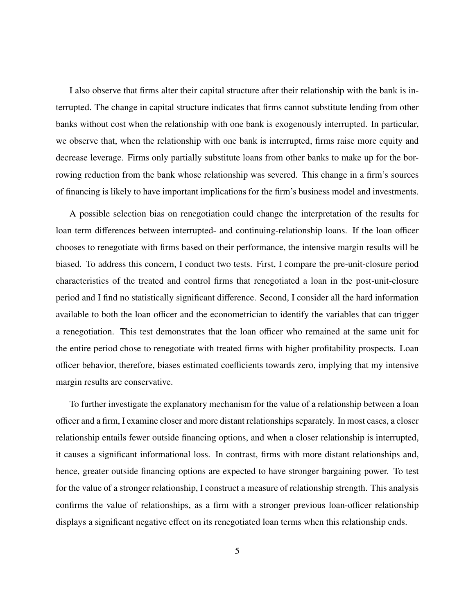I also observe that firms alter their capital structure after their relationship with the bank is interrupted. The change in capital structure indicates that firms cannot substitute lending from other banks without cost when the relationship with one bank is exogenously interrupted. In particular, we observe that, when the relationship with one bank is interrupted, firms raise more equity and decrease leverage. Firms only partially substitute loans from other banks to make up for the borrowing reduction from the bank whose relationship was severed. This change in a firm's sources of financing is likely to have important implications for the firm's business model and investments.

A possible selection bias on renegotiation could change the interpretation of the results for loan term differences between interrupted- and continuing-relationship loans. If the loan officer chooses to renegotiate with firms based on their performance, the intensive margin results will be biased. To address this concern, I conduct two tests. First, I compare the pre-unit-closure period characteristics of the treated and control firms that renegotiated a loan in the post-unit-closure period and I find no statistically significant difference. Second, I consider all the hard information available to both the loan officer and the econometrician to identify the variables that can trigger a renegotiation. This test demonstrates that the loan officer who remained at the same unit for the entire period chose to renegotiate with treated firms with higher profitability prospects. Loan officer behavior, therefore, biases estimated coefficients towards zero, implying that my intensive margin results are conservative.

To further investigate the explanatory mechanism for the value of a relationship between a loan officer and a firm, I examine closer and more distant relationships separately. In most cases, a closer relationship entails fewer outside financing options, and when a closer relationship is interrupted, it causes a significant informational loss. In contrast, firms with more distant relationships and, hence, greater outside financing options are expected to have stronger bargaining power. To test for the value of a stronger relationship, I construct a measure of relationship strength. This analysis confirms the value of relationships, as a firm with a stronger previous loan-officer relationship displays a significant negative effect on its renegotiated loan terms when this relationship ends.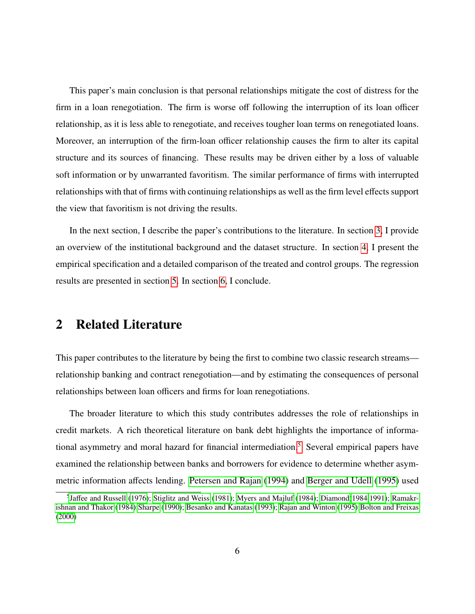This paper's main conclusion is that personal relationships mitigate the cost of distress for the firm in a loan renegotiation. The firm is worse off following the interruption of its loan officer relationship, as it is less able to renegotiate, and receives tougher loan terms on renegotiated loans. Moreover, an interruption of the firm-loan officer relationship causes the firm to alter its capital structure and its sources of financing. These results may be driven either by a loss of valuable soft information or by unwarranted favoritism. The similar performance of firms with interrupted relationships with that of firms with continuing relationships as well as the firm level effects support the view that favoritism is not driving the results.

In the next section, I describe the paper's contributions to the literature. In section [3,](#page-8-0) I provide an overview of the institutional background and the dataset structure. In section [4,](#page-12-0) I present the empirical specification and a detailed comparison of the treated and control groups. The regression results are presented in section [5.](#page-16-0) In section [6,](#page-30-0) I conclude.

# 2 Related Literature

This paper contributes to the literature by being the first to combine two classic research streams relationship banking and contract renegotiation—and by estimating the consequences of personal relationships between loan officers and firms for loan renegotiations.

The broader literature to which this study contributes addresses the role of relationships in credit markets. A rich theoretical literature on bank debt highlights the importance of informa-tional asymmetry and moral hazard for financial intermediation.<sup>[5](#page-5-0)</sup> Several empirical papers have examined the relationship between banks and borrowers for evidence to determine whether asymmetric information affects lending. [Petersen and Rajan](#page-34-3) [\(1994\)](#page-34-3) and [Berger and Udell](#page-31-3) [\(1995\)](#page-31-3) used

<span id="page-5-0"></span><sup>&</sup>lt;sup>5</sup>Jaff[ee and Russell](#page-33-3) [\(1976\)](#page-33-3); [Stiglitz and Weiss](#page-34-4) [\(1981\)](#page-34-4); [Myers and Majluf](#page-33-4) [\(1984\)](#page-33-4); [Diamond\(1984](#page-32-0)[,1991\)](#page-32-5); [Ramakr](#page-34-0)[ishnan and Thakor](#page-34-0) [\(1984\)](#page-34-0)[;Sharpe](#page-34-1) [\(1990\)](#page-34-1); [Besanko and Kanatas](#page-31-4) [\(1993\)](#page-31-4); [Rajan and Winton](#page-34-5) [\(1995\)](#page-34-5)[;Bolton and Freixas](#page-31-5) [\(2000\)](#page-31-5)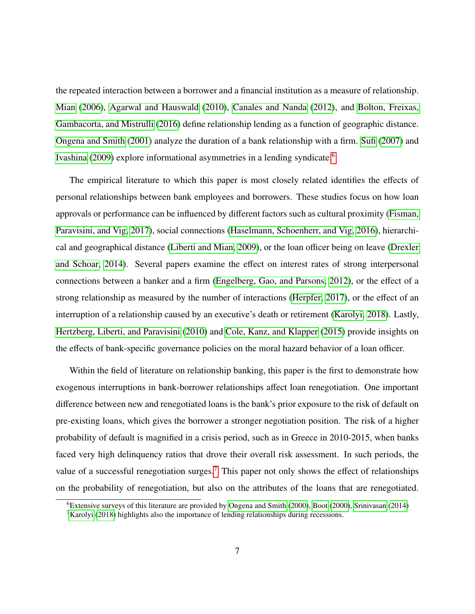the repeated interaction between a borrower and a financial institution as a measure of relationship. [Mian](#page-33-5) [\(2006\)](#page-33-5), [Agarwal and Hauswald](#page-31-6) [\(2010\)](#page-31-6), [Canales and Nanda](#page-32-6) [\(2012\)](#page-32-6), and [Bolton, Freixas,](#page-31-7) [Gambacorta, and Mistrulli](#page-31-7) [\(2016\)](#page-31-7) define relationship lending as a function of geographic distance. [Ongena and Smith](#page-34-6) [\(2001\)](#page-34-6) analyze the duration of a bank relationship with a firm. [Sufi](#page-34-7) [\(2007\)](#page-34-7) and [Ivashina](#page-33-6) [\(2009\)](#page-33-6) explore informational asymmetries in a lending syndicate.<sup>[6](#page-6-0)</sup>

The empirical literature to which this paper is most closely related identifies the effects of personal relationships between bank employees and borrowers. These studies focus on how loan approvals or performance can be influenced by different factors such as cultural proximity [\(Fisman,](#page-32-7) [Paravisini, and Vig, 2017\)](#page-32-7), social connections [\(Haselmann, Schoenherr, and Vig, 2016\)](#page-33-7), hierarchical and geographical distance [\(Liberti and Mian, 2009\)](#page-33-8), or the loan officer being on leave [\(Drexler](#page-32-8) [and Schoar, 2014\)](#page-32-8). Several papers examine the effect on interest rates of strong interpersonal connections between a banker and a firm [\(Engelberg, Gao, and Parsons, 2012\)](#page-32-9), or the effect of a strong relationship as measured by the number of interactions [\(Herpfer, 2017\)](#page-33-9), or the effect of an interruption of a relationship caused by an executive's death or retirement [\(Karolyi, 2018\)](#page-33-10). Lastly, [Hertzberg, Liberti, and Paravisini](#page-33-11) [\(2010\)](#page-33-11) and [Cole, Kanz, and Klapper](#page-32-10) [\(2015\)](#page-32-10) provide insights on the effects of bank-specific governance policies on the moral hazard behavior of a loan officer.

Within the field of literature on relationship banking, this paper is the first to demonstrate how exogenous interruptions in bank-borrower relationships affect loan renegotiation. One important difference between new and renegotiated loans is the bank's prior exposure to the risk of default on pre-existing loans, which gives the borrower a stronger negotiation position. The risk of a higher probability of default is magnified in a crisis period, such as in Greece in 2010-2015, when banks faced very high delinquency ratios that drove their overall risk assessment. In such periods, the value of a successful renegotiation surges.<sup>[7](#page-6-1)</sup> This paper not only shows the effect of relationships on the probability of renegotiation, but also on the attributes of the loans that are renegotiated.

<span id="page-6-0"></span><sup>6</sup>Extensive surveys of this literature are provided by [Ongena and Smith](#page-33-12) [\(2000\)](#page-33-12), [Boot](#page-31-8) [\(2000\)](#page-31-8), [Srinivasan](#page-34-8) [\(2014\)](#page-34-8)

<span id="page-6-1"></span><sup>&</sup>lt;sup>7</sup>[Karolyi](#page-33-10) [\(2018\)](#page-33-10) highlights also the importance of lending relationships during recessions.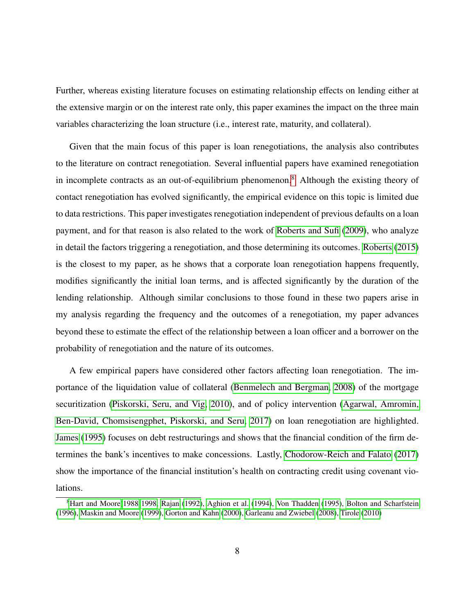Further, whereas existing literature focuses on estimating relationship effects on lending either at the extensive margin or on the interest rate only, this paper examines the impact on the three main variables characterizing the loan structure (i.e., interest rate, maturity, and collateral).

Given that the main focus of this paper is loan renegotiations, the analysis also contributes to the literature on contract renegotiation. Several influential papers have examined renegotiation in incomplete contracts as an out-of-equilibrium phenomenon.<sup>[8](#page-7-0)</sup> Although the existing theory of contact renegotiation has evolved significantly, the empirical evidence on this topic is limited due to data restrictions. This paper investigates renegotiation independent of previous defaults on a loan payment, and for that reason is also related to the work of [Roberts and Sufi](#page-34-9) [\(2009\)](#page-34-9), who analyze in detail the factors triggering a renegotiation, and those determining its outcomes. [Roberts](#page-34-10) [\(2015\)](#page-34-10) is the closest to my paper, as he shows that a corporate loan renegotiation happens frequently, modifies significantly the initial loan terms, and is affected significantly by the duration of the lending relationship. Although similar conclusions to those found in these two papers arise in my analysis regarding the frequency and the outcomes of a renegotiation, my paper advances beyond these to estimate the effect of the relationship between a loan officer and a borrower on the probability of renegotiation and the nature of its outcomes.

A few empirical papers have considered other factors affecting loan renegotiation. The importance of the liquidation value of collateral [\(Benmelech and Bergman, 2008\)](#page-31-9) of the mortgage securitization [\(Piskorski, Seru, and Vig, 2010\)](#page-34-11), and of policy intervention [\(Agarwal, Amromin,](#page-31-10) [Ben-David, Chomsisengphet, Piskorski, and Seru, 2017\)](#page-31-10) on loan renegotiation are highlighted. [James](#page-33-13) [\(1995\)](#page-33-13) focuses on debt restructurings and shows that the financial condition of the firm determines the bank's incentives to make concessions. Lastly, [Chodorow-Reich and Falato](#page-32-11) [\(2017\)](#page-32-11) show the importance of the financial institution's health on contracting credit using covenant violations.

<span id="page-7-0"></span><sup>&</sup>lt;sup>8</sup>[Hart and Moore\(1988](#page-32-2) [1998,](#page-33-1) [Rajan](#page-34-2) [\(1992\)](#page-34-2), [Aghion et al.](#page-31-2) [\(1994\)](#page-31-2), [Von Thadden](#page-34-12) [\(1995\)](#page-34-12), [Bolton and Scharfstein](#page-31-1) [\(1996\)](#page-31-1), [Maskin and Moore](#page-33-2) [\(1999\)](#page-33-2), [Gorton and Kahn](#page-32-3) [\(2000\)](#page-32-3), [Garleanu and Zwiebel](#page-32-4) [\(2008\)](#page-32-4), [Tirole](#page-34-13) [\(2010\)](#page-34-13)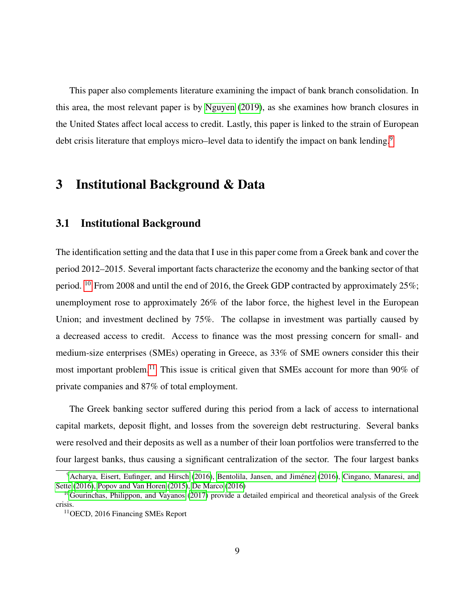This paper also complements literature examining the impact of bank branch consolidation. In this area, the most relevant paper is by [Nguyen](#page-33-14) [\(2019\)](#page-33-14), as she examines how branch closures in the United States affect local access to credit. Lastly, this paper is linked to the strain of European debt crisis literature that employs micro–level data to identify the impact on bank lending.<sup>[9](#page-8-1)</sup>

# <span id="page-8-0"></span>3 Institutional Background & Data

# 3.1 Institutional Background

The identification setting and the data that I use in this paper come from a Greek bank and cover the period 2012–2015. Several important facts characterize the economy and the banking sector of that period. <sup>[10](#page-8-2)</sup> From 2008 and until the end of 2016, the Greek GDP contracted by approximately 25%; unemployment rose to approximately 26% of the labor force, the highest level in the European Union; and investment declined by 75%. The collapse in investment was partially caused by a decreased access to credit. Access to finance was the most pressing concern for small- and medium-size enterprises (SMEs) operating in Greece, as 33% of SME owners consider this their most important problem.[11](#page-8-3) This issue is critical given that SMEs account for more than 90% of private companies and 87% of total employment.

The Greek banking sector suffered during this period from a lack of access to international capital markets, deposit flight, and losses from the sovereign debt restructuring. Several banks were resolved and their deposits as well as a number of their loan portfolios were transferred to the four largest banks, thus causing a significant centralization of the sector. The four largest banks

<span id="page-8-1"></span><sup>&</sup>lt;sup>9</sup>[Acharya, Eisert, Eufinger, and Hirsch](#page-31-11) [\(2016\)](#page-31-12), Bentolila, Jansen, and Jiménez (2016), [Cingano, Manaresi, and](#page-32-12) [Sette](#page-32-12) [\(2016\)](#page-32-12), [Popov and Van Horen](#page-34-14) [\(2015\)](#page-34-14), [De Marco](#page-32-13) [\(2016\)](#page-32-13)

<span id="page-8-2"></span><sup>&</sup>lt;sup>10</sup>[Gourinchas, Philippon, and Vayanos](#page-32-14) [\(2017\)](#page-32-14) provide a detailed empirical and theoretical analysis of the Greek crisis.

<span id="page-8-3"></span><sup>11</sup>OECD, 2016 Financing SMEs Report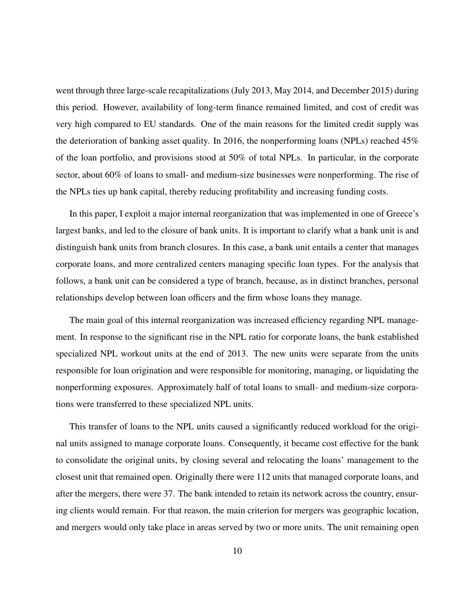went through three large-scale recapitalizations (July 2013, May 2014, and December 2015) during this period. However, availability of long-term finance remained limited, and cost of credit was very high compared to EU standards. One of the main reasons for the limited credit supply was the deterioration of banking asset quality. In 2016, the nonperforming loans (NPLs) reached 45% of the loan portfolio, and provisions stood at 50% of total NPLs. In particular, in the corporate sector, about 60% of loans to small- and medium-size businesses were nonperforming. The rise of the NPLs ties up bank capital, thereby reducing profitability and increasing funding costs.

In this paper, I exploit a major internal reorganization that was implemented in one of Greece's largest banks, and led to the closure of bank units. It is important to clarify what a bank unit is and distinguish bank units from branch closures. In this case, a bank unit entails a center that manages corporate loans, and more centralized centers managing specific loan types. For the analysis that follows, a bank unit can be considered a type of branch, because, as in distinct branches, personal relationships develop between loan officers and the firm whose loans they manage.

The main goal of this internal reorganization was increased efficiency regarding NPL management. In response to the significant rise in the NPL ratio for corporate loans, the bank established specialized NPL workout units at the end of 2013. The new units were separate from the units responsible for loan origination and were responsible for monitoring, managing, or liquidating the nonperforming exposures. Approximately half of total loans to small- and medium-size corporations were transferred to these specialized NPL units.

This transfer of loans to the NPL units caused a significantly reduced workload for the original units assigned to manage corporate loans. Consequently, it became cost effective for the bank to consolidate the original units, by closing several and relocating the loans' management to the closest unit that remained open. Originally there were 112 units that managed corporate loans, and after the mergers, there were 37. The bank intended to retain its network across the country, ensuring clients would remain. For that reason, the main criterion for mergers was geographic location, and mergers would only take place in areas served by two or more units. The unit remaining open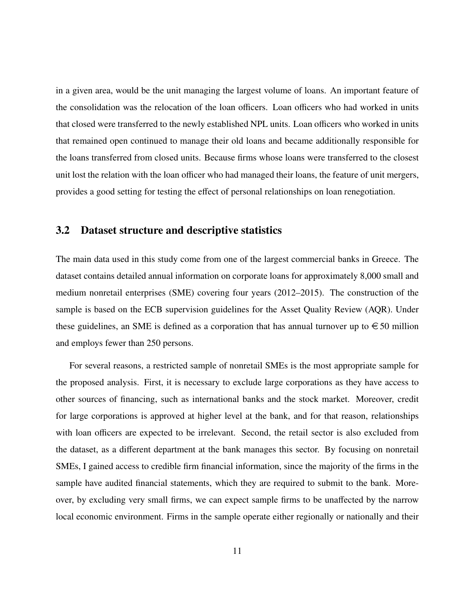in a given area, would be the unit managing the largest volume of loans. An important feature of the consolidation was the relocation of the loan officers. Loan officers who had worked in units that closed were transferred to the newly established NPL units. Loan officers who worked in units that remained open continued to manage their old loans and became additionally responsible for the loans transferred from closed units. Because firms whose loans were transferred to the closest unit lost the relation with the loan officer who had managed their loans, the feature of unit mergers, provides a good setting for testing the effect of personal relationships on loan renegotiation.

### 3.2 Dataset structure and descriptive statistics

The main data used in this study come from one of the largest commercial banks in Greece. The dataset contains detailed annual information on corporate loans for approximately 8,000 small and medium nonretail enterprises (SME) covering four years (2012–2015). The construction of the sample is based on the ECB supervision guidelines for the Asset Quality Review (AQR). Under these guidelines, an SME is defined as a corporation that has annual turnover up to  $\in$  50 million and employs fewer than 250 persons.

For several reasons, a restricted sample of nonretail SMEs is the most appropriate sample for the proposed analysis. First, it is necessary to exclude large corporations as they have access to other sources of financing, such as international banks and the stock market. Moreover, credit for large corporations is approved at higher level at the bank, and for that reason, relationships with loan officers are expected to be irrelevant. Second, the retail sector is also excluded from the dataset, as a different department at the bank manages this sector. By focusing on nonretail SMEs, I gained access to credible firm financial information, since the majority of the firms in the sample have audited financial statements, which they are required to submit to the bank. Moreover, by excluding very small firms, we can expect sample firms to be unaffected by the narrow local economic environment. Firms in the sample operate either regionally or nationally and their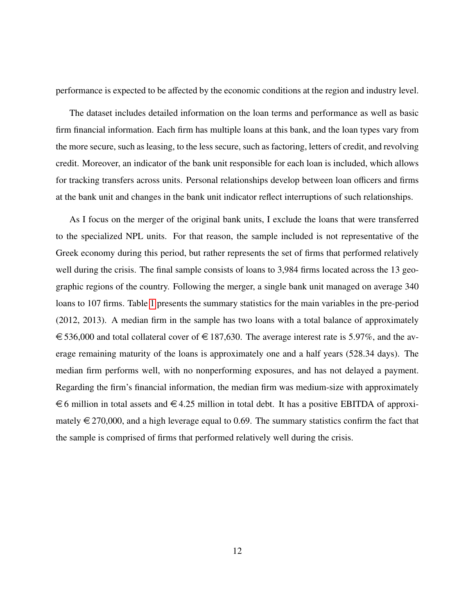performance is expected to be affected by the economic conditions at the region and industry level.

The dataset includes detailed information on the loan terms and performance as well as basic firm financial information. Each firm has multiple loans at this bank, and the loan types vary from the more secure, such as leasing, to the less secure, such as factoring, letters of credit, and revolving credit. Moreover, an indicator of the bank unit responsible for each loan is included, which allows for tracking transfers across units. Personal relationships develop between loan officers and firms at the bank unit and changes in the bank unit indicator reflect interruptions of such relationships.

As I focus on the merger of the original bank units, I exclude the loans that were transferred to the specialized NPL units. For that reason, the sample included is not representative of the Greek economy during this period, but rather represents the set of firms that performed relatively well during the crisis. The final sample consists of loans to 3,984 firms located across the 13 geographic regions of the country. Following the merger, a single bank unit managed on average 340 loans to 107 firms. Table [1](#page-35-0) presents the summary statistics for the main variables in the pre-period (2012, 2013). A median firm in the sample has two loans with a total balance of approximately  $\epsilon$  536,000 and total collateral cover of  $\epsilon$  187,630. The average interest rate is 5.97%, and the average remaining maturity of the loans is approximately one and a half years (528.34 days). The median firm performs well, with no nonperforming exposures, and has not delayed a payment. Regarding the firm's financial information, the median firm was medium-size with approximately  $\epsilon$  6 million in total assets and  $\epsilon$  4.25 million in total debt. It has a positive EBITDA of approximately  $\epsilon$  270,000, and a high leverage equal to 0.69. The summary statistics confirm the fact that the sample is comprised of firms that performed relatively well during the crisis.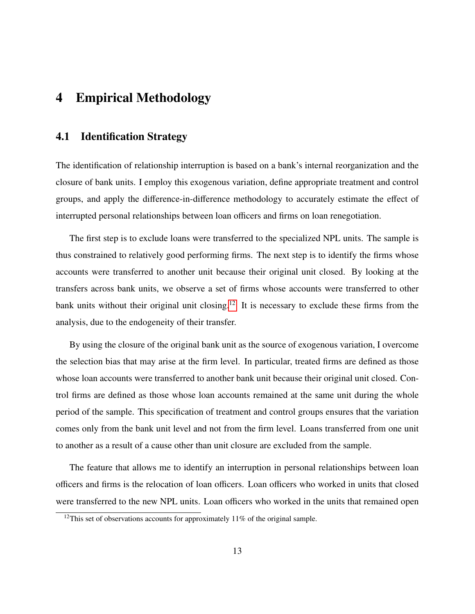# <span id="page-12-0"></span>4 Empirical Methodology

### 4.1 Identification Strategy

The identification of relationship interruption is based on a bank's internal reorganization and the closure of bank units. I employ this exogenous variation, define appropriate treatment and control groups, and apply the difference-in-difference methodology to accurately estimate the effect of interrupted personal relationships between loan officers and firms on loan renegotiation.

The first step is to exclude loans were transferred to the specialized NPL units. The sample is thus constrained to relatively good performing firms. The next step is to identify the firms whose accounts were transferred to another unit because their original unit closed. By looking at the transfers across bank units, we observe a set of firms whose accounts were transferred to other bank units without their original unit closing.<sup>[12](#page-12-1)</sup> It is necessary to exclude these firms from the analysis, due to the endogeneity of their transfer.

By using the closure of the original bank unit as the source of exogenous variation, I overcome the selection bias that may arise at the firm level. In particular, treated firms are defined as those whose loan accounts were transferred to another bank unit because their original unit closed. Control firms are defined as those whose loan accounts remained at the same unit during the whole period of the sample. This specification of treatment and control groups ensures that the variation comes only from the bank unit level and not from the firm level. Loans transferred from one unit to another as a result of a cause other than unit closure are excluded from the sample.

The feature that allows me to identify an interruption in personal relationships between loan officers and firms is the relocation of loan officers. Loan officers who worked in units that closed were transferred to the new NPL units. Loan officers who worked in the units that remained open

<span id="page-12-1"></span><sup>&</sup>lt;sup>12</sup>This set of observations accounts for approximately 11% of the original sample.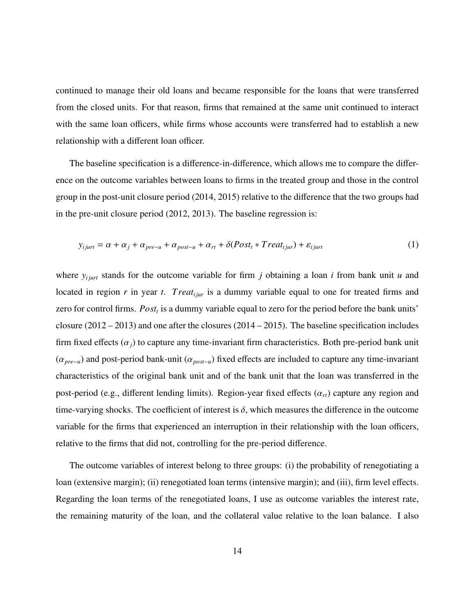continued to manage their old loans and became responsible for the loans that were transferred from the closed units. For that reason, firms that remained at the same unit continued to interact with the same loan officers, while firms whose accounts were transferred had to establish a new relationship with a different loan officer.

The baseline specification is a difference-in-difference, which allows me to compare the difference on the outcome variables between loans to firms in the treated group and those in the control group in the post-unit closure period (2014, 2015) relative to the difference that the two groups had in the pre-unit closure period (2012, 2013). The baseline regression is:

<span id="page-13-0"></span>
$$
y_{ijurt} = \alpha + \alpha_j + \alpha_{pre-u} + \alpha_{post-u} + \alpha_{rt} + \delta (Post_t * Treat_{ijur}) + \varepsilon_{ijurt}
$$
\n(1)

where  $y_{ijunt}$  stands for the outcome variable for firm *j* obtaining a loan *i* from bank unit *u* and located in region *r* in year *t*. *Treat<sub>ijur</sub>* is a dummy variable equal to one for treated firms and zero for control firms. *Post<sup>t</sup>* is a dummy variable equal to zero for the period before the bank units' closure (2012 – 2013) and one after the closures (2014 – 2015). The baseline specification includes firm fixed effects  $(\alpha_i)$  to capture any time-invariant firm characteristics. Both pre-period bank unit (α*pre*−*u*) and post-period bank-unit (α*post*−*u*) fixed effects are included to capture any time-invariant characteristics of the original bank unit and of the bank unit that the loan was transferred in the post-period (e.g., different lending limits). Region-year fixed effects (α*rt*) capture any region and time-varying shocks. The coefficient of interest is  $\delta$ , which measures the difference in the outcome variable for the firms that experienced an interruption in their relationship with the loan officers, relative to the firms that did not, controlling for the pre-period difference.

The outcome variables of interest belong to three groups: (i) the probability of renegotiating a loan (extensive margin); (ii) renegotiated loan terms (intensive margin); and (iii), firm level effects. Regarding the loan terms of the renegotiated loans, I use as outcome variables the interest rate, the remaining maturity of the loan, and the collateral value relative to the loan balance. I also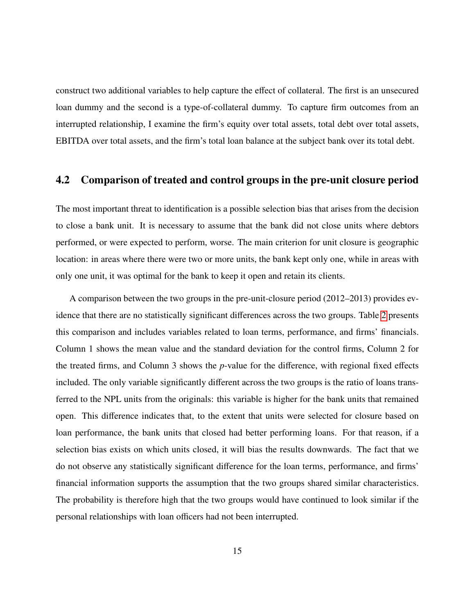construct two additional variables to help capture the effect of collateral. The first is an unsecured loan dummy and the second is a type-of-collateral dummy. To capture firm outcomes from an interrupted relationship, I examine the firm's equity over total assets, total debt over total assets, EBITDA over total assets, and the firm's total loan balance at the subject bank over its total debt.

### <span id="page-14-0"></span>4.2 Comparison of treated and control groups in the pre-unit closure period

The most important threat to identification is a possible selection bias that arises from the decision to close a bank unit. It is necessary to assume that the bank did not close units where debtors performed, or were expected to perform, worse. The main criterion for unit closure is geographic location: in areas where there were two or more units, the bank kept only one, while in areas with only one unit, it was optimal for the bank to keep it open and retain its clients.

A comparison between the two groups in the pre-unit-closure period (2012–2013) provides evidence that there are no statistically significant differences across the two groups. Table [2](#page-36-0) presents this comparison and includes variables related to loan terms, performance, and firms' financials. Column 1 shows the mean value and the standard deviation for the control firms, Column 2 for the treated firms, and Column 3 shows the *p*-value for the difference, with regional fixed effects included. The only variable significantly different across the two groups is the ratio of loans transferred to the NPL units from the originals: this variable is higher for the bank units that remained open. This difference indicates that, to the extent that units were selected for closure based on loan performance, the bank units that closed had better performing loans. For that reason, if a selection bias exists on which units closed, it will bias the results downwards. The fact that we do not observe any statistically significant difference for the loan terms, performance, and firms' financial information supports the assumption that the two groups shared similar characteristics. The probability is therefore high that the two groups would have continued to look similar if the personal relationships with loan officers had not been interrupted.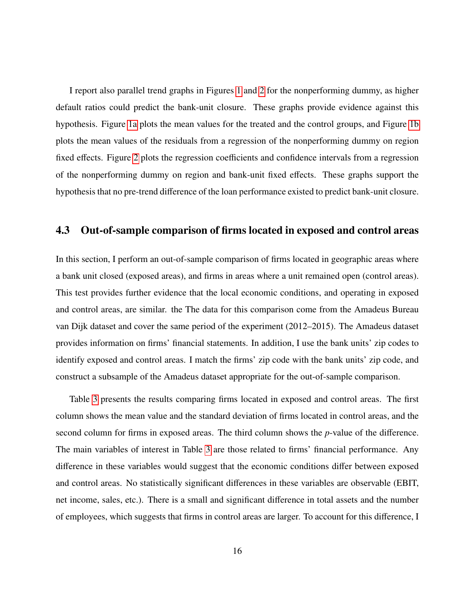I report also parallel trend graphs in Figures [1](#page-37-0) and [2](#page-37-1) for the nonperforming dummy, as higher default ratios could predict the bank-unit closure. These graphs provide evidence against this hypothesis. Figure [1a](#page-37-2) plots the mean values for the treated and the control groups, and Figure [1b](#page-37-0) plots the mean values of the residuals from a regression of the nonperforming dummy on region fixed effects. Figure [2](#page-37-1) plots the regression coefficients and confidence intervals from a regression of the nonperforming dummy on region and bank-unit fixed effects. These graphs support the hypothesis that no pre-trend difference of the loan performance existed to predict bank-unit closure.

### <span id="page-15-0"></span>4.3 Out-of-sample comparison of firms located in exposed and control areas

In this section, I perform an out-of-sample comparison of firms located in geographic areas where a bank unit closed (exposed areas), and firms in areas where a unit remained open (control areas). This test provides further evidence that the local economic conditions, and operating in exposed and control areas, are similar. the The data for this comparison come from the Amadeus Bureau van Dijk dataset and cover the same period of the experiment (2012–2015). The Amadeus dataset provides information on firms' financial statements. In addition, I use the bank units' zip codes to identify exposed and control areas. I match the firms' zip code with the bank units' zip code, and construct a subsample of the Amadeus dataset appropriate for the out-of-sample comparison.

Table [3](#page-38-0) presents the results comparing firms located in exposed and control areas. The first column shows the mean value and the standard deviation of firms located in control areas, and the second column for firms in exposed areas. The third column shows the *p*-value of the difference. The main variables of interest in Table [3](#page-38-0) are those related to firms' financial performance. Any difference in these variables would suggest that the economic conditions differ between exposed and control areas. No statistically significant differences in these variables are observable (EBIT, net income, sales, etc.). There is a small and significant difference in total assets and the number of employees, which suggests that firms in control areas are larger. To account for this difference, I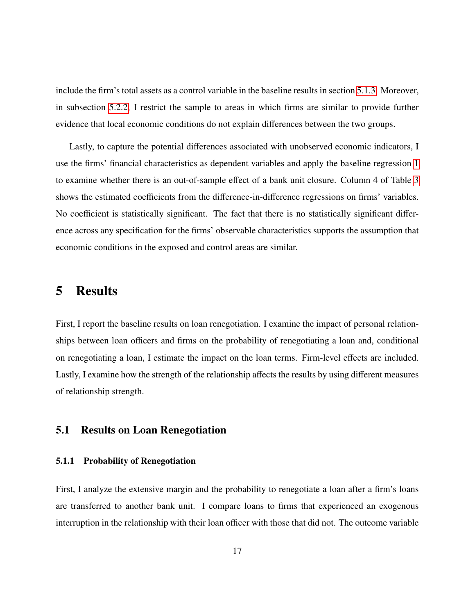include the firm's total assets as a control variable in the baseline results in section [5.1.3.](#page-18-0) Moreover, in subsection [5.2.2,](#page-23-0) I restrict the sample to areas in which firms are similar to provide further evidence that local economic conditions do not explain differences between the two groups.

Lastly, to capture the potential differences associated with unobserved economic indicators, I use the firms' financial characteristics as dependent variables and apply the baseline regression [1](#page-13-0) to examine whether there is an out-of-sample effect of a bank unit closure. Column 4 of Table [3](#page-38-0) shows the estimated coefficients from the difference-in-difference regressions on firms' variables. No coefficient is statistically significant. The fact that there is no statistically significant difference across any specification for the firms' observable characteristics supports the assumption that economic conditions in the exposed and control areas are similar.

# <span id="page-16-0"></span>5 Results

First, I report the baseline results on loan renegotiation. I examine the impact of personal relationships between loan officers and firms on the probability of renegotiating a loan and, conditional on renegotiating a loan, I estimate the impact on the loan terms. Firm-level effects are included. Lastly, I examine how the strength of the relationship affects the results by using different measures of relationship strength.

#### 5.1 Results on Loan Renegotiation

#### <span id="page-16-1"></span>5.1.1 Probability of Renegotiation

First, I analyze the extensive margin and the probability to renegotiate a loan after a firm's loans are transferred to another bank unit. I compare loans to firms that experienced an exogenous interruption in the relationship with their loan officer with those that did not. The outcome variable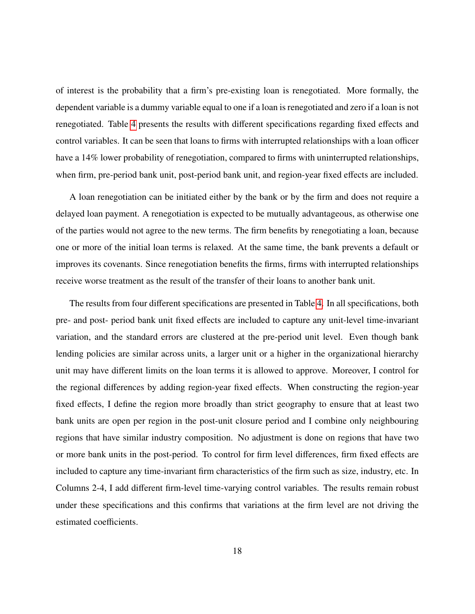of interest is the probability that a firm's pre-existing loan is renegotiated. More formally, the dependent variable is a dummy variable equal to one if a loan is renegotiated and zero if a loan is not renegotiated. Table [4](#page-40-0) presents the results with different specifications regarding fixed effects and control variables. It can be seen that loans to firms with interrupted relationships with a loan officer have a 14% lower probability of renegotiation, compared to firms with uninterrupted relationships, when firm, pre-period bank unit, post-period bank unit, and region-year fixed effects are included.

A loan renegotiation can be initiated either by the bank or by the firm and does not require a delayed loan payment. A renegotiation is expected to be mutually advantageous, as otherwise one of the parties would not agree to the new terms. The firm benefits by renegotiating a loan, because one or more of the initial loan terms is relaxed. At the same time, the bank prevents a default or improves its covenants. Since renegotiation benefits the firms, firms with interrupted relationships receive worse treatment as the result of the transfer of their loans to another bank unit.

The results from four different specifications are presented in Table [4.](#page-40-0) In all specifications, both pre- and post- period bank unit fixed effects are included to capture any unit-level time-invariant variation, and the standard errors are clustered at the pre-period unit level. Even though bank lending policies are similar across units, a larger unit or a higher in the organizational hierarchy unit may have different limits on the loan terms it is allowed to approve. Moreover, I control for the regional differences by adding region-year fixed effects. When constructing the region-year fixed effects, I define the region more broadly than strict geography to ensure that at least two bank units are open per region in the post-unit closure period and I combine only neighbouring regions that have similar industry composition. No adjustment is done on regions that have two or more bank units in the post-period. To control for firm level differences, firm fixed effects are included to capture any time-invariant firm characteristics of the firm such as size, industry, etc. In Columns 2-4, I add different firm-level time-varying control variables. The results remain robust under these specifications and this confirms that variations at the firm level are not driving the estimated coefficients.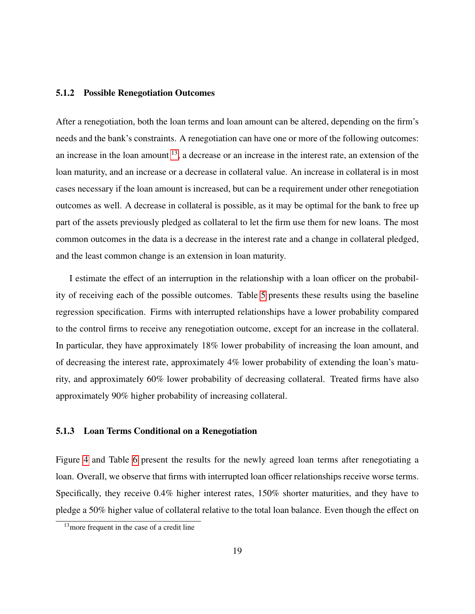#### 5.1.2 Possible Renegotiation Outcomes

After a renegotiation, both the loan terms and loan amount can be altered, depending on the firm's needs and the bank's constraints. A renegotiation can have one or more of the following outcomes: an increase in the loan amount  $^{13}$  $^{13}$  $^{13}$ , a decrease or an increase in the interest rate, an extension of the loan maturity, and an increase or a decrease in collateral value. An increase in collateral is in most cases necessary if the loan amount is increased, but can be a requirement under other renegotiation outcomes as well. A decrease in collateral is possible, as it may be optimal for the bank to free up part of the assets previously pledged as collateral to let the firm use them for new loans. The most common outcomes in the data is a decrease in the interest rate and a change in collateral pledged, and the least common change is an extension in loan maturity.

I estimate the effect of an interruption in the relationship with a loan officer on the probability of receiving each of the possible outcomes. Table [5](#page-41-0) presents these results using the baseline regression specification. Firms with interrupted relationships have a lower probability compared to the control firms to receive any renegotiation outcome, except for an increase in the collateral. In particular, they have approximately 18% lower probability of increasing the loan amount, and of decreasing the interest rate, approximately 4% lower probability of extending the loan's maturity, and approximately 60% lower probability of decreasing collateral. Treated firms have also approximately 90% higher probability of increasing collateral.

#### <span id="page-18-0"></span>5.1.3 Loan Terms Conditional on a Renegotiation

Figure [4](#page-42-0) and Table [6](#page-43-0) present the results for the newly agreed loan terms after renegotiating a loan. Overall, we observe that firms with interrupted loan officer relationships receive worse terms. Specifically, they receive 0.4% higher interest rates, 150% shorter maturities, and they have to pledge a 50% higher value of collateral relative to the total loan balance. Even though the effect on

<span id="page-18-1"></span><sup>&</sup>lt;sup>13</sup> more frequent in the case of a credit line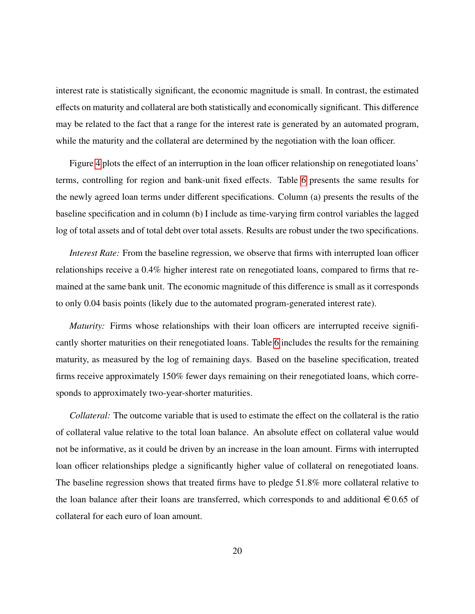interest rate is statistically significant, the economic magnitude is small. In contrast, the estimated effects on maturity and collateral are both statistically and economically significant. This difference may be related to the fact that a range for the interest rate is generated by an automated program, while the maturity and the collateral are determined by the negotiation with the loan officer.

Figure [4](#page-42-0) plots the effect of an interruption in the loan officer relationship on renegotiated loans' terms, controlling for region and bank-unit fixed effects. Table [6](#page-43-0) presents the same results for the newly agreed loan terms under different specifications. Column (a) presents the results of the baseline specification and in column (b) I include as time-varying firm control variables the lagged log of total assets and of total debt over total assets. Results are robust under the two specifications.

*Interest Rate:* From the baseline regression, we observe that firms with interrupted loan officer relationships receive a 0.4% higher interest rate on renegotiated loans, compared to firms that remained at the same bank unit. The economic magnitude of this difference is small as it corresponds to only 0.04 basis points (likely due to the automated program-generated interest rate).

*Maturity:* Firms whose relationships with their loan officers are interrupted receive significantly shorter maturities on their renegotiated loans. Table [6](#page-43-0) includes the results for the remaining maturity, as measured by the log of remaining days. Based on the baseline specification, treated firms receive approximately 150% fewer days remaining on their renegotiated loans, which corresponds to approximately two-year-shorter maturities.

*Collateral:* The outcome variable that is used to estimate the effect on the collateral is the ratio of collateral value relative to the total loan balance. An absolute effect on collateral value would not be informative, as it could be driven by an increase in the loan amount. Firms with interrupted loan officer relationships pledge a significantly higher value of collateral on renegotiated loans. The baseline regression shows that treated firms have to pledge 51.8% more collateral relative to the loan balance after their loans are transferred, which corresponds to and additional  $\epsilon$  0.65 of collateral for each euro of loan amount.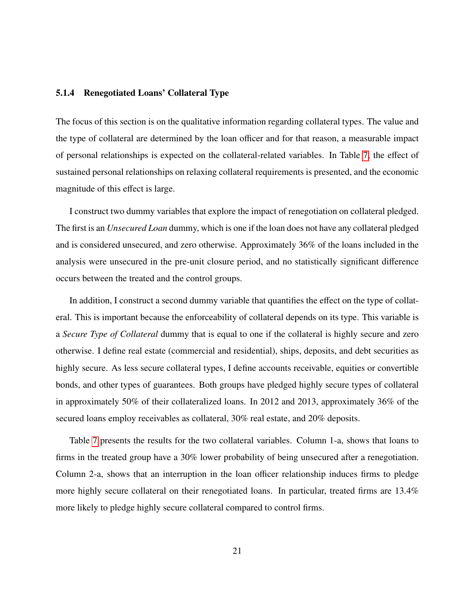#### 5.1.4 Renegotiated Loans' Collateral Type

The focus of this section is on the qualitative information regarding collateral types. The value and the type of collateral are determined by the loan officer and for that reason, a measurable impact of personal relationships is expected on the collateral-related variables. In Table [7,](#page-44-0) the effect of sustained personal relationships on relaxing collateral requirements is presented, and the economic magnitude of this effect is large.

I construct two dummy variables that explore the impact of renegotiation on collateral pledged. The first is an *Unsecured Loan* dummy, which is one if the loan does not have any collateral pledged and is considered unsecured, and zero otherwise. Approximately 36% of the loans included in the analysis were unsecured in the pre-unit closure period, and no statistically significant difference occurs between the treated and the control groups.

In addition, I construct a second dummy variable that quantifies the effect on the type of collateral. This is important because the enforceability of collateral depends on its type. This variable is a *Secure Type of Collateral* dummy that is equal to one if the collateral is highly secure and zero otherwise. I define real estate (commercial and residential), ships, deposits, and debt securities as highly secure. As less secure collateral types, I define accounts receivable, equities or convertible bonds, and other types of guarantees. Both groups have pledged highly secure types of collateral in approximately 50% of their collateralized loans. In 2012 and 2013, approximately 36% of the secured loans employ receivables as collateral, 30% real estate, and 20% deposits.

Table [7](#page-44-0) presents the results for the two collateral variables. Column 1-a, shows that loans to firms in the treated group have a 30% lower probability of being unsecured after a renegotiation. Column 2-a, shows that an interruption in the loan officer relationship induces firms to pledge more highly secure collateral on their renegotiated loans. In particular, treated firms are 13.4% more likely to pledge highly secure collateral compared to control firms.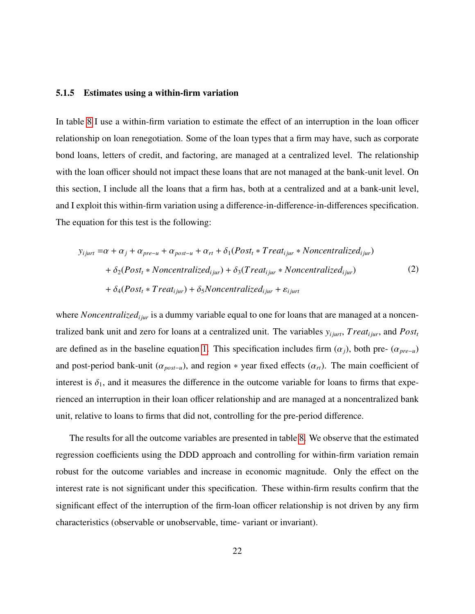#### 5.1.5 Estimates using a within-firm variation

In table [8](#page-45-0) I use a within-firm variation to estimate the effect of an interruption in the loan officer relationship on loan renegotiation. Some of the loan types that a firm may have, such as corporate bond loans, letters of credit, and factoring, are managed at a centralized level. The relationship with the loan officer should not impact these loans that are not managed at the bank-unit level. On this section, I include all the loans that a firm has, both at a centralized and at a bank-unit level, and I exploit this within-firm variation using a difference-in-difference-in-differences specification. The equation for this test is the following:

<span id="page-21-0"></span>
$$
y_{ijurt} = \alpha + \alpha_j + \alpha_{pre-u} + \alpha_{post-u} + \alpha_{rt} + \delta_1(Post_t * Treat_{ijur} * Noncentralized_{ijur})
$$
  
+  $\delta_2(Post_t * Noncentralized_{ijur}) + \delta_3(Treat_{ijur} * Noncentralized_{ijur})$   
+  $\delta_4(Post_t * Treat_{ijur}) + \delta_5Noncentralized_{ijur} + \varepsilon_{ijurt}$  (2)

where *Noncentralized<sub>i jur</sub>* is a dummy variable equal to one for loans that are managed at a noncentralized bank unit and zero for loans at a centralized unit. The variables  $y_{ijurt}$ , *Treat<sub>ijur</sub>*, and  $Post<sub>t</sub>$ are defined as in the baseline equation [1.](#page-13-0) This specification includes firm  $(\alpha_i)$ , both pre-  $(\alpha_{pre-u})$ and post-period bank-unit ( $\alpha_{post-u}$ ), and region \* year fixed effects ( $\alpha_{rt}$ ). The main coefficient of interest is  $\delta_1$ , and it measures the difference in the outcome variable for loans to firms that experienced an interruption in their loan officer relationship and are managed at a noncentralized bank unit, relative to loans to firms that did not, controlling for the pre-period difference.

The results for all the outcome variables are presented in table [8.](#page-45-0) We observe that the estimated regression coefficients using the DDD approach and controlling for within-firm variation remain robust for the outcome variables and increase in economic magnitude. Only the effect on the interest rate is not significant under this specification. These within-firm results confirm that the significant effect of the interruption of the firm-loan officer relationship is not driven by any firm characteristics (observable or unobservable, time- variant or invariant).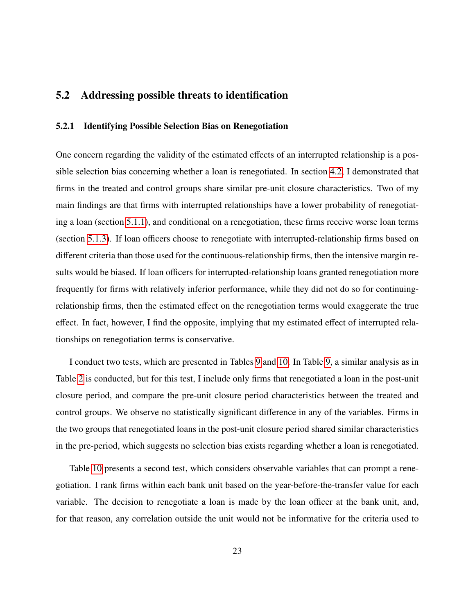# 5.2 Addressing possible threats to identification

#### 5.2.1 Identifying Possible Selection Bias on Renegotiation

One concern regarding the validity of the estimated effects of an interrupted relationship is a possible selection bias concerning whether a loan is renegotiated. In section [4.2,](#page-14-0) I demonstrated that firms in the treated and control groups share similar pre-unit closure characteristics. Two of my main findings are that firms with interrupted relationships have a lower probability of renegotiating a loan (section [5.1.1\)](#page-16-1), and conditional on a renegotiation, these firms receive worse loan terms (section [5.1.3\)](#page-18-0). If loan officers choose to renegotiate with interrupted-relationship firms based on different criteria than those used for the continuous-relationship firms, then the intensive margin results would be biased. If loan officers for interrupted-relationship loans granted renegotiation more frequently for firms with relatively inferior performance, while they did not do so for continuingrelationship firms, then the estimated effect on the renegotiation terms would exaggerate the true effect. In fact, however, I find the opposite, implying that my estimated effect of interrupted relationships on renegotiation terms is conservative.

I conduct two tests, which are presented in Tables [9](#page-46-0) and [10.](#page-47-0) In Table [9,](#page-46-0) a similar analysis as in Table [2](#page-36-0) is conducted, but for this test, I include only firms that renegotiated a loan in the post-unit closure period, and compare the pre-unit closure period characteristics between the treated and control groups. We observe no statistically significant difference in any of the variables. Firms in the two groups that renegotiated loans in the post-unit closure period shared similar characteristics in the pre-period, which suggests no selection bias exists regarding whether a loan is renegotiated.

Table [10](#page-47-0) presents a second test, which considers observable variables that can prompt a renegotiation. I rank firms within each bank unit based on the year-before-the-transfer value for each variable. The decision to renegotiate a loan is made by the loan officer at the bank unit, and, for that reason, any correlation outside the unit would not be informative for the criteria used to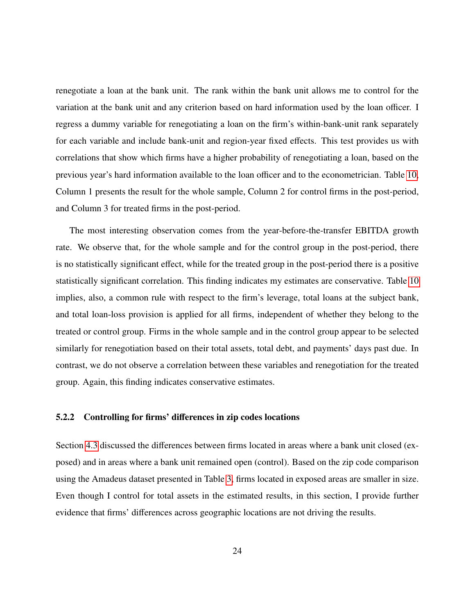renegotiate a loan at the bank unit. The rank within the bank unit allows me to control for the variation at the bank unit and any criterion based on hard information used by the loan officer. I regress a dummy variable for renegotiating a loan on the firm's within-bank-unit rank separately for each variable and include bank-unit and region-year fixed effects. This test provides us with correlations that show which firms have a higher probability of renegotiating a loan, based on the previous year's hard information available to the loan officer and to the econometrician. Table [10,](#page-47-0) Column 1 presents the result for the whole sample, Column 2 for control firms in the post-period, and Column 3 for treated firms in the post-period.

The most interesting observation comes from the year-before-the-transfer EBITDA growth rate. We observe that, for the whole sample and for the control group in the post-period, there is no statistically significant effect, while for the treated group in the post-period there is a positive statistically significant correlation. This finding indicates my estimates are conservative. Table [10](#page-47-0) implies, also, a common rule with respect to the firm's leverage, total loans at the subject bank, and total loan-loss provision is applied for all firms, independent of whether they belong to the treated or control group. Firms in the whole sample and in the control group appear to be selected similarly for renegotiation based on their total assets, total debt, and payments' days past due. In contrast, we do not observe a correlation between these variables and renegotiation for the treated group. Again, this finding indicates conservative estimates.

#### <span id="page-23-0"></span>5.2.2 Controlling for firms' differences in zip codes locations

Section [4.3](#page-15-0) discussed the differences between firms located in areas where a bank unit closed (exposed) and in areas where a bank unit remained open (control). Based on the zip code comparison using the Amadeus dataset presented in Table [3,](#page-38-0) firms located in exposed areas are smaller in size. Even though I control for total assets in the estimated results, in this section, I provide further evidence that firms' differences across geographic locations are not driving the results.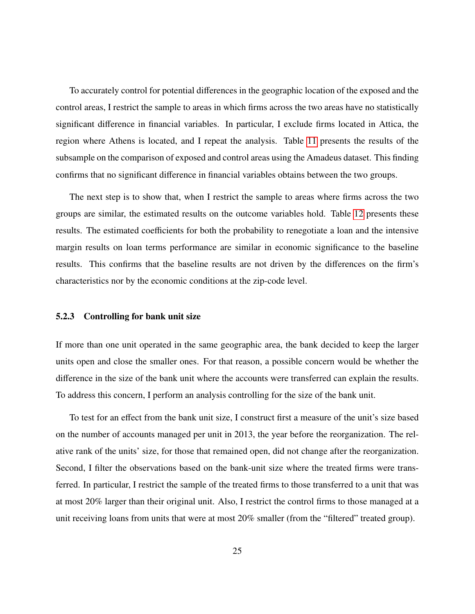To accurately control for potential differences in the geographic location of the exposed and the control areas, I restrict the sample to areas in which firms across the two areas have no statistically significant difference in financial variables. In particular, I exclude firms located in Attica, the region where Athens is located, and I repeat the analysis. Table [11](#page-48-0) presents the results of the subsample on the comparison of exposed and control areas using the Amadeus dataset. This finding confirms that no significant difference in financial variables obtains between the two groups.

The next step is to show that, when I restrict the sample to areas where firms across the two groups are similar, the estimated results on the outcome variables hold. Table [12](#page-49-0) presents these results. The estimated coefficients for both the probability to renegotiate a loan and the intensive margin results on loan terms performance are similar in economic significance to the baseline results. This confirms that the baseline results are not driven by the differences on the firm's characteristics nor by the economic conditions at the zip-code level.

#### 5.2.3 Controlling for bank unit size

If more than one unit operated in the same geographic area, the bank decided to keep the larger units open and close the smaller ones. For that reason, a possible concern would be whether the difference in the size of the bank unit where the accounts were transferred can explain the results. To address this concern, I perform an analysis controlling for the size of the bank unit.

To test for an effect from the bank unit size, I construct first a measure of the unit's size based on the number of accounts managed per unit in 2013, the year before the reorganization. The relative rank of the units' size, for those that remained open, did not change after the reorganization. Second, I filter the observations based on the bank-unit size where the treated firms were transferred. In particular, I restrict the sample of the treated firms to those transferred to a unit that was at most 20% larger than their original unit. Also, I restrict the control firms to those managed at a unit receiving loans from units that were at most 20% smaller (from the "filtered" treated group).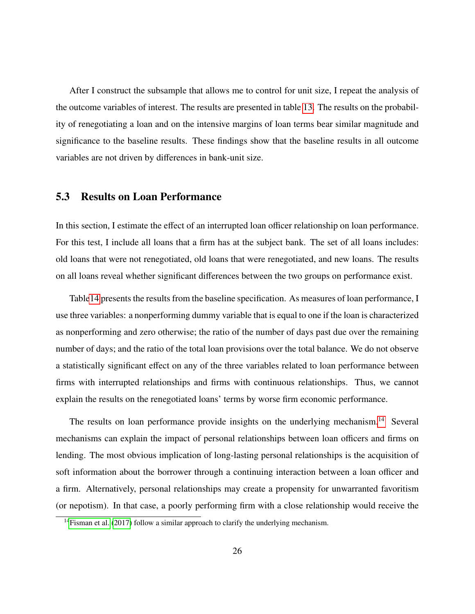After I construct the subsample that allows me to control for unit size, I repeat the analysis of the outcome variables of interest. The results are presented in table [13.](#page-50-0) The results on the probability of renegotiating a loan and on the intensive margins of loan terms bear similar magnitude and significance to the baseline results. These findings show that the baseline results in all outcome variables are not driven by differences in bank-unit size.

### 5.3 Results on Loan Performance

In this section, I estimate the effect of an interrupted loan officer relationship on loan performance. For this test, I include all loans that a firm has at the subject bank. The set of all loans includes: old loans that were not renegotiated, old loans that were renegotiated, and new loans. The results on all loans reveal whether significant differences between the two groups on performance exist.

Tabl[e14](#page-51-0) presents the results from the baseline specification. As measures of loan performance, I use three variables: a nonperforming dummy variable that is equal to one if the loan is characterized as nonperforming and zero otherwise; the ratio of the number of days past due over the remaining number of days; and the ratio of the total loan provisions over the total balance. We do not observe a statistically significant effect on any of the three variables related to loan performance between firms with interrupted relationships and firms with continuous relationships. Thus, we cannot explain the results on the renegotiated loans' terms by worse firm economic performance.

The results on loan performance provide insights on the underlying mechanism.<sup>[14](#page-25-0)</sup> Several mechanisms can explain the impact of personal relationships between loan officers and firms on lending. The most obvious implication of long-lasting personal relationships is the acquisition of soft information about the borrower through a continuing interaction between a loan officer and a firm. Alternatively, personal relationships may create a propensity for unwarranted favoritism (or nepotism). In that case, a poorly performing firm with a close relationship would receive the

<span id="page-25-0"></span><sup>&</sup>lt;sup>14</sup>[Fisman et al.](#page-32-7) [\(2017\)](#page-32-7) follow a similar approach to clarify the underlying mechanism.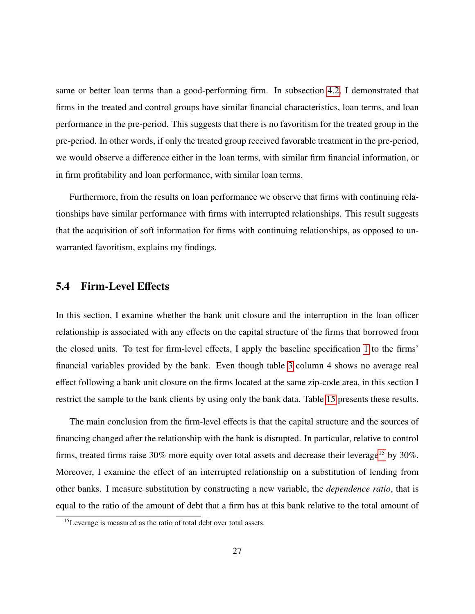same or better loan terms than a good-performing firm. In subsection [4.2,](#page-14-0) I demonstrated that firms in the treated and control groups have similar financial characteristics, loan terms, and loan performance in the pre-period. This suggests that there is no favoritism for the treated group in the pre-period. In other words, if only the treated group received favorable treatment in the pre-period, we would observe a difference either in the loan terms, with similar firm financial information, or in firm profitability and loan performance, with similar loan terms.

Furthermore, from the results on loan performance we observe that firms with continuing relationships have similar performance with firms with interrupted relationships. This result suggests that the acquisition of soft information for firms with continuing relationships, as opposed to unwarranted favoritism, explains my findings.

### 5.4 Firm-Level Effects

In this section, I examine whether the bank unit closure and the interruption in the loan officer relationship is associated with any effects on the capital structure of the firms that borrowed from the closed units. To test for firm-level effects, I apply the baseline specification [1](#page-13-0) to the firms' financial variables provided by the bank. Even though table [3](#page-38-0) column 4 shows no average real effect following a bank unit closure on the firms located at the same zip-code area, in this section I restrict the sample to the bank clients by using only the bank data. Table [15](#page-52-0) presents these results.

The main conclusion from the firm-level effects is that the capital structure and the sources of financing changed after the relationship with the bank is disrupted. In particular, relative to control firms, treated firms raise  $30\%$  more equity over total assets and decrease their leverage<sup>[15](#page-26-0)</sup> by  $30\%$ . Moreover, I examine the effect of an interrupted relationship on a substitution of lending from other banks. I measure substitution by constructing a new variable, the *dependence ratio*, that is equal to the ratio of the amount of debt that a firm has at this bank relative to the total amount of

<span id="page-26-0"></span><sup>15</sup>Leverage is measured as the ratio of total debt over total assets.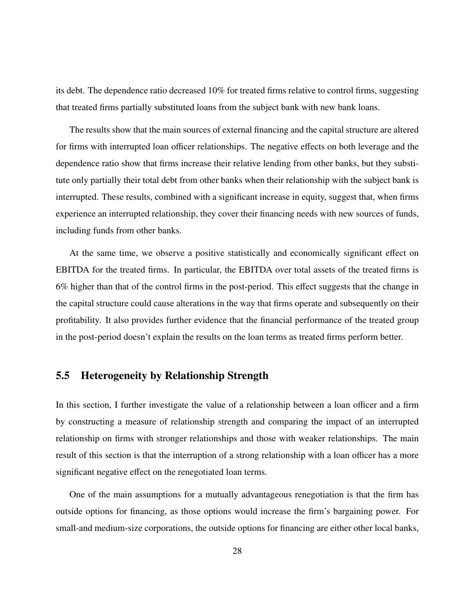its debt. The dependence ratio decreased 10% for treated firms relative to control firms, suggesting that treated firms partially substituted loans from the subject bank with new bank loans.

The results show that the main sources of external financing and the capital structure are altered for firms with interrupted loan officer relationships. The negative effects on both leverage and the dependence ratio show that firms increase their relative lending from other banks, but they substitute only partially their total debt from other banks when their relationship with the subject bank is interrupted. These results, combined with a significant increase in equity, suggest that, when firms experience an interrupted relationship, they cover their financing needs with new sources of funds, including funds from other banks.

At the same time, we observe a positive statistically and economically significant effect on EBITDA for the treated firms. In particular, the EBITDA over total assets of the treated firms is 6% higher than that of the control firms in the post-period. This effect suggests that the change in the capital structure could cause alterations in the way that firms operate and subsequently on their profitability. It also provides further evidence that the financial performance of the treated group in the post-period doesn't explain the results on the loan terms as treated firms perform better.

### 5.5 Heterogeneity by Relationship Strength

In this section, I further investigate the value of a relationship between a loan officer and a firm by constructing a measure of relationship strength and comparing the impact of an interrupted relationship on firms with stronger relationships and those with weaker relationships. The main result of this section is that the interruption of a strong relationship with a loan officer has a more significant negative effect on the renegotiated loan terms.

One of the main assumptions for a mutually advantageous renegotiation is that the firm has outside options for financing, as those options would increase the firm's bargaining power. For small-and medium-size corporations, the outside options for financing are either other local banks,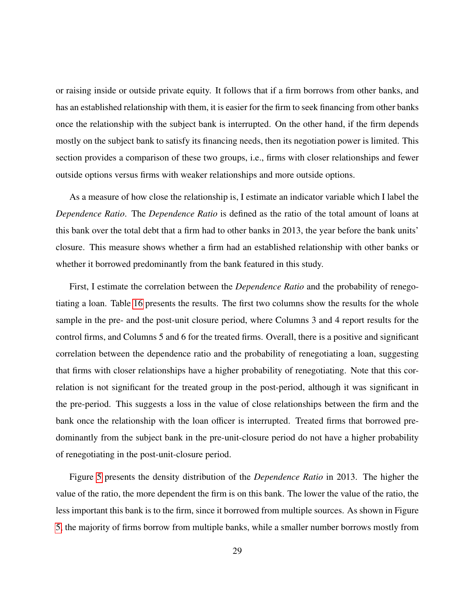or raising inside or outside private equity. It follows that if a firm borrows from other banks, and has an established relationship with them, it is easier for the firm to seek financing from other banks once the relationship with the subject bank is interrupted. On the other hand, if the firm depends mostly on the subject bank to satisfy its financing needs, then its negotiation power is limited. This section provides a comparison of these two groups, i.e., firms with closer relationships and fewer outside options versus firms with weaker relationships and more outside options.

As a measure of how close the relationship is, I estimate an indicator variable which I label the *Dependence Ratio*. The *Dependence Ratio* is defined as the ratio of the total amount of loans at this bank over the total debt that a firm had to other banks in 2013, the year before the bank units' closure. This measure shows whether a firm had an established relationship with other banks or whether it borrowed predominantly from the bank featured in this study.

First, I estimate the correlation between the *Dependence Ratio* and the probability of renegotiating a loan. Table [16](#page-53-0) presents the results. The first two columns show the results for the whole sample in the pre- and the post-unit closure period, where Columns 3 and 4 report results for the control firms, and Columns 5 and 6 for the treated firms. Overall, there is a positive and significant correlation between the dependence ratio and the probability of renegotiating a loan, suggesting that firms with closer relationships have a higher probability of renegotiating. Note that this correlation is not significant for the treated group in the post-period, although it was significant in the pre-period. This suggests a loss in the value of close relationships between the firm and the bank once the relationship with the loan officer is interrupted. Treated firms that borrowed predominantly from the subject bank in the pre-unit-closure period do not have a higher probability of renegotiating in the post-unit-closure period.

Figure [5](#page-54-0) presents the density distribution of the *Dependence Ratio* in 2013. The higher the value of the ratio, the more dependent the firm is on this bank. The lower the value of the ratio, the less important this bank is to the firm, since it borrowed from multiple sources. As shown in Figure [5,](#page-54-0) the majority of firms borrow from multiple banks, while a smaller number borrows mostly from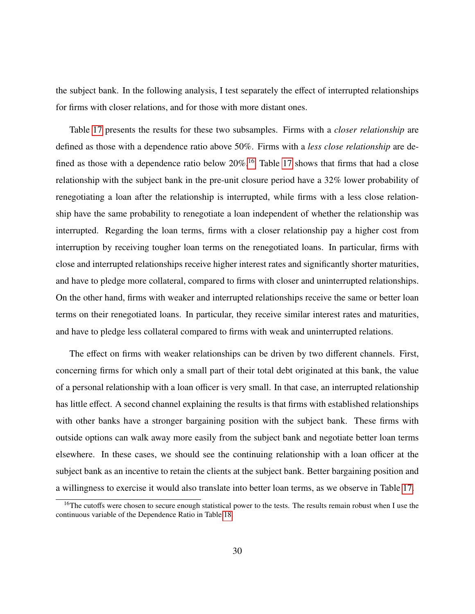the subject bank. In the following analysis, I test separately the effect of interrupted relationships for firms with closer relations, and for those with more distant ones.

Table [17](#page-55-0) presents the results for these two subsamples. Firms with a *closer relationship* are defined as those with a dependence ratio above 50%. Firms with a *less close relationship* are defined as those with a dependence ratio below  $20\%$ .<sup>[16](#page-29-0)</sup> Table [17](#page-55-0) shows that firms that had a close relationship with the subject bank in the pre-unit closure period have a 32% lower probability of renegotiating a loan after the relationship is interrupted, while firms with a less close relationship have the same probability to renegotiate a loan independent of whether the relationship was interrupted. Regarding the loan terms, firms with a closer relationship pay a higher cost from interruption by receiving tougher loan terms on the renegotiated loans. In particular, firms with close and interrupted relationships receive higher interest rates and significantly shorter maturities, and have to pledge more collateral, compared to firms with closer and uninterrupted relationships. On the other hand, firms with weaker and interrupted relationships receive the same or better loan terms on their renegotiated loans. In particular, they receive similar interest rates and maturities, and have to pledge less collateral compared to firms with weak and uninterrupted relations.

The effect on firms with weaker relationships can be driven by two different channels. First, concerning firms for which only a small part of their total debt originated at this bank, the value of a personal relationship with a loan officer is very small. In that case, an interrupted relationship has little effect. A second channel explaining the results is that firms with established relationships with other banks have a stronger bargaining position with the subject bank. These firms with outside options can walk away more easily from the subject bank and negotiate better loan terms elsewhere. In these cases, we should see the continuing relationship with a loan officer at the subject bank as an incentive to retain the clients at the subject bank. Better bargaining position and a willingness to exercise it would also translate into better loan terms, as we observe in Table [17.](#page-55-0)

<span id="page-29-0"></span><sup>&</sup>lt;sup>16</sup>The cutoffs were chosen to secure enough statistical power to the tests. The results remain robust when I use the continuous variable of the Dependence Ratio in Table [18.](#page-56-0)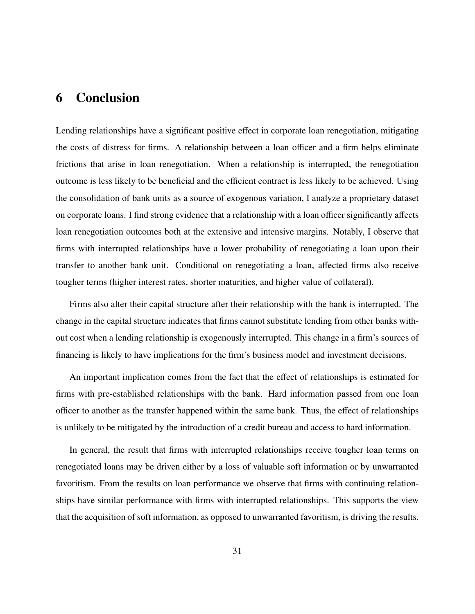# <span id="page-30-0"></span>6 Conclusion

Lending relationships have a significant positive effect in corporate loan renegotiation, mitigating the costs of distress for firms. A relationship between a loan officer and a firm helps eliminate frictions that arise in loan renegotiation. When a relationship is interrupted, the renegotiation outcome is less likely to be beneficial and the efficient contract is less likely to be achieved. Using the consolidation of bank units as a source of exogenous variation, I analyze a proprietary dataset on corporate loans. I find strong evidence that a relationship with a loan officer significantly affects loan renegotiation outcomes both at the extensive and intensive margins. Notably, I observe that firms with interrupted relationships have a lower probability of renegotiating a loan upon their transfer to another bank unit. Conditional on renegotiating a loan, affected firms also receive tougher terms (higher interest rates, shorter maturities, and higher value of collateral).

Firms also alter their capital structure after their relationship with the bank is interrupted. The change in the capital structure indicates that firms cannot substitute lending from other banks without cost when a lending relationship is exogenously interrupted. This change in a firm's sources of financing is likely to have implications for the firm's business model and investment decisions.

An important implication comes from the fact that the effect of relationships is estimated for firms with pre-established relationships with the bank. Hard information passed from one loan officer to another as the transfer happened within the same bank. Thus, the effect of relationships is unlikely to be mitigated by the introduction of a credit bureau and access to hard information.

In general, the result that firms with interrupted relationships receive tougher loan terms on renegotiated loans may be driven either by a loss of valuable soft information or by unwarranted favoritism. From the results on loan performance we observe that firms with continuing relationships have similar performance with firms with interrupted relationships. This supports the view that the acquisition of soft information, as opposed to unwarranted favoritism, is driving the results.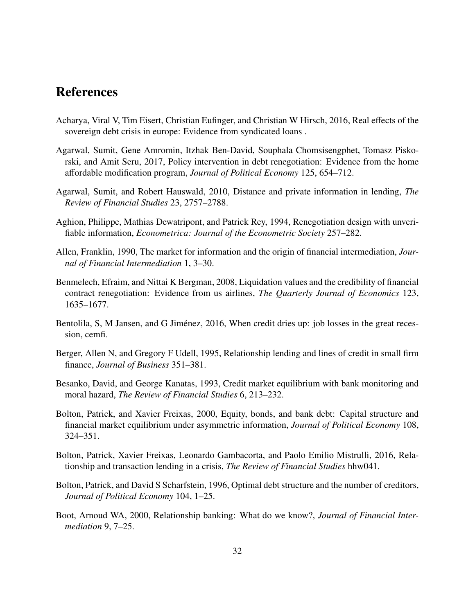# References

- <span id="page-31-11"></span>Acharya, Viral V, Tim Eisert, Christian Eufinger, and Christian W Hirsch, 2016, Real effects of the sovereign debt crisis in europe: Evidence from syndicated loans .
- <span id="page-31-10"></span>Agarwal, Sumit, Gene Amromin, Itzhak Ben-David, Souphala Chomsisengphet, Tomasz Piskorski, and Amit Seru, 2017, Policy intervention in debt renegotiation: Evidence from the home affordable modification program, *Journal of Political Economy* 125, 654–712.
- <span id="page-31-6"></span>Agarwal, Sumit, and Robert Hauswald, 2010, Distance and private information in lending, *The Review of Financial Studies* 23, 2757–2788.
- <span id="page-31-2"></span>Aghion, Philippe, Mathias Dewatripont, and Patrick Rey, 1994, Renegotiation design with unverifiable information, *Econometrica: Journal of the Econometric Society* 257–282.
- <span id="page-31-0"></span>Allen, Franklin, 1990, The market for information and the origin of financial intermediation, *Journal of Financial Intermediation* 1, 3–30.
- <span id="page-31-9"></span>Benmelech, Efraim, and Nittai K Bergman, 2008, Liquidation values and the credibility of financial contract renegotiation: Evidence from us airlines, *The Quarterly Journal of Economics* 123, 1635–1677.
- <span id="page-31-12"></span>Bentolila, S, M Jansen, and G Jiménez, 2016, When credit dries up: job losses in the great recession, cemfi.
- <span id="page-31-3"></span>Berger, Allen N, and Gregory F Udell, 1995, Relationship lending and lines of credit in small firm finance, *Journal of Business* 351–381.
- <span id="page-31-4"></span>Besanko, David, and George Kanatas, 1993, Credit market equilibrium with bank monitoring and moral hazard, *The Review of Financial Studies* 6, 213–232.
- <span id="page-31-5"></span>Bolton, Patrick, and Xavier Freixas, 2000, Equity, bonds, and bank debt: Capital structure and financial market equilibrium under asymmetric information, *Journal of Political Economy* 108, 324–351.
- <span id="page-31-7"></span>Bolton, Patrick, Xavier Freixas, Leonardo Gambacorta, and Paolo Emilio Mistrulli, 2016, Relationship and transaction lending in a crisis, *The Review of Financial Studies* hhw041.
- <span id="page-31-1"></span>Bolton, Patrick, and David S Scharfstein, 1996, Optimal debt structure and the number of creditors, *Journal of Political Economy* 104, 1–25.
- <span id="page-31-8"></span>Boot, Arnoud WA, 2000, Relationship banking: What do we know?, *Journal of Financial Intermediation* 9, 7–25.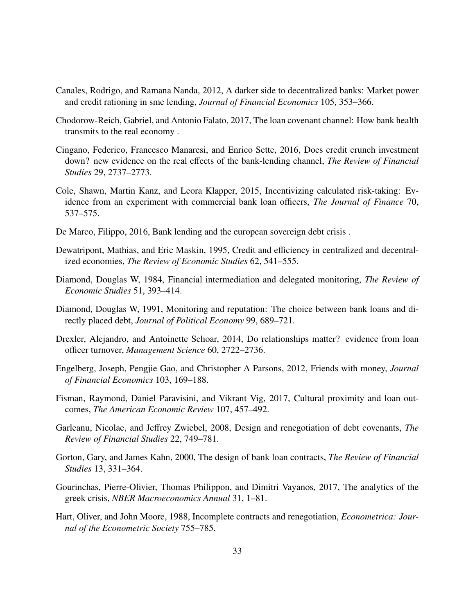- <span id="page-32-6"></span>Canales, Rodrigo, and Ramana Nanda, 2012, A darker side to decentralized banks: Market power and credit rationing in sme lending, *Journal of Financial Economics* 105, 353–366.
- <span id="page-32-11"></span>Chodorow-Reich, Gabriel, and Antonio Falato, 2017, The loan covenant channel: How bank health transmits to the real economy .
- <span id="page-32-12"></span>Cingano, Federico, Francesco Manaresi, and Enrico Sette, 2016, Does credit crunch investment down? new evidence on the real effects of the bank-lending channel, *The Review of Financial Studies* 29, 2737–2773.
- <span id="page-32-10"></span>Cole, Shawn, Martin Kanz, and Leora Klapper, 2015, Incentivizing calculated risk-taking: Evidence from an experiment with commercial bank loan officers, *The Journal of Finance* 70, 537–575.
- <span id="page-32-13"></span>De Marco, Filippo, 2016, Bank lending and the european sovereign debt crisis .
- <span id="page-32-1"></span>Dewatripont, Mathias, and Eric Maskin, 1995, Credit and efficiency in centralized and decentralized economies, *The Review of Economic Studies* 62, 541–555.
- <span id="page-32-0"></span>Diamond, Douglas W, 1984, Financial intermediation and delegated monitoring, *The Review of Economic Studies* 51, 393–414.
- <span id="page-32-5"></span>Diamond, Douglas W, 1991, Monitoring and reputation: The choice between bank loans and directly placed debt, *Journal of Political Economy* 99, 689–721.
- <span id="page-32-8"></span>Drexler, Alejandro, and Antoinette Schoar, 2014, Do relationships matter? evidence from loan officer turnover, *Management Science* 60, 2722–2736.
- <span id="page-32-9"></span>Engelberg, Joseph, Pengjie Gao, and Christopher A Parsons, 2012, Friends with money, *Journal of Financial Economics* 103, 169–188.
- <span id="page-32-7"></span>Fisman, Raymond, Daniel Paravisini, and Vikrant Vig, 2017, Cultural proximity and loan outcomes, *The American Economic Review* 107, 457–492.
- <span id="page-32-4"></span>Garleanu, Nicolae, and Jeffrey Zwiebel, 2008, Design and renegotiation of debt covenants, *The Review of Financial Studies* 22, 749–781.
- <span id="page-32-3"></span>Gorton, Gary, and James Kahn, 2000, The design of bank loan contracts, *The Review of Financial Studies* 13, 331–364.
- <span id="page-32-14"></span>Gourinchas, Pierre-Olivier, Thomas Philippon, and Dimitri Vayanos, 2017, The analytics of the greek crisis, *NBER Macroeconomics Annual* 31, 1–81.
- <span id="page-32-2"></span>Hart, Oliver, and John Moore, 1988, Incomplete contracts and renegotiation, *Econometrica: Journal of the Econometric Society* 755–785.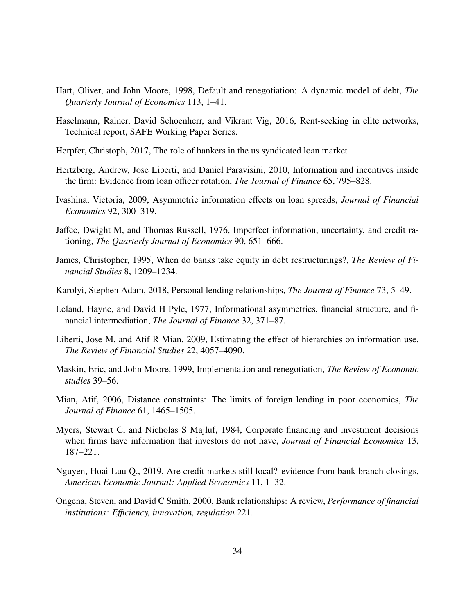- <span id="page-33-1"></span>Hart, Oliver, and John Moore, 1998, Default and renegotiation: A dynamic model of debt, *The Quarterly Journal of Economics* 113, 1–41.
- <span id="page-33-7"></span>Haselmann, Rainer, David Schoenherr, and Vikrant Vig, 2016, Rent-seeking in elite networks, Technical report, SAFE Working Paper Series.
- <span id="page-33-9"></span>Herpfer, Christoph, 2017, The role of bankers in the us syndicated loan market .
- <span id="page-33-11"></span>Hertzberg, Andrew, Jose Liberti, and Daniel Paravisini, 2010, Information and incentives inside the firm: Evidence from loan officer rotation, *The Journal of Finance* 65, 795–828.
- <span id="page-33-6"></span>Ivashina, Victoria, 2009, Asymmetric information effects on loan spreads, *Journal of Financial Economics* 92, 300–319.
- <span id="page-33-3"></span>Jaffee, Dwight M, and Thomas Russell, 1976, Imperfect information, uncertainty, and credit rationing, *The Quarterly Journal of Economics* 90, 651–666.
- <span id="page-33-13"></span>James, Christopher, 1995, When do banks take equity in debt restructurings?, *The Review of Financial Studies* 8, 1209–1234.
- <span id="page-33-10"></span>Karolyi, Stephen Adam, 2018, Personal lending relationships, *The Journal of Finance* 73, 5–49.
- <span id="page-33-0"></span>Leland, Hayne, and David H Pyle, 1977, Informational asymmetries, financial structure, and financial intermediation, *The Journal of Finance* 32, 371–87.
- <span id="page-33-8"></span>Liberti, Jose M, and Atif R Mian, 2009, Estimating the effect of hierarchies on information use, *The Review of Financial Studies* 22, 4057–4090.
- <span id="page-33-2"></span>Maskin, Eric, and John Moore, 1999, Implementation and renegotiation, *The Review of Economic studies* 39–56.
- <span id="page-33-5"></span>Mian, Atif, 2006, Distance constraints: The limits of foreign lending in poor economies, *The Journal of Finance* 61, 1465–1505.
- <span id="page-33-4"></span>Myers, Stewart C, and Nicholas S Majluf, 1984, Corporate financing and investment decisions when firms have information that investors do not have, *Journal of Financial Economics* 13, 187–221.
- <span id="page-33-14"></span>Nguyen, Hoai-Luu Q., 2019, Are credit markets still local? evidence from bank branch closings, *American Economic Journal: Applied Economics* 11, 1–32.
- <span id="page-33-12"></span>Ongena, Steven, and David C Smith, 2000, Bank relationships: A review, *Performance of financial institutions: E*ffi*ciency, innovation, regulation* 221.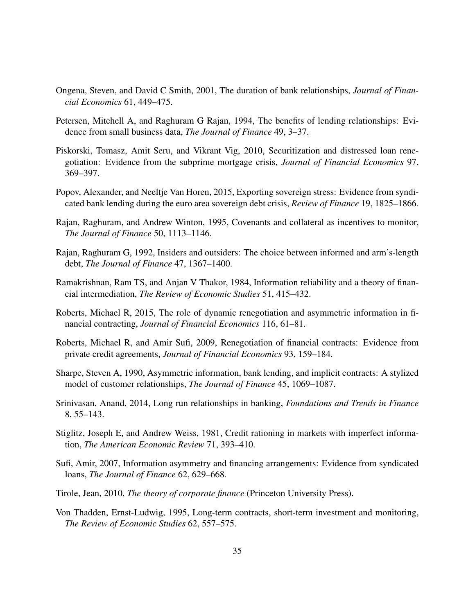- <span id="page-34-6"></span>Ongena, Steven, and David C Smith, 2001, The duration of bank relationships, *Journal of Financial Economics* 61, 449–475.
- <span id="page-34-3"></span>Petersen, Mitchell A, and Raghuram G Rajan, 1994, The benefits of lending relationships: Evidence from small business data, *The Journal of Finance* 49, 3–37.
- <span id="page-34-11"></span>Piskorski, Tomasz, Amit Seru, and Vikrant Vig, 2010, Securitization and distressed loan renegotiation: Evidence from the subprime mortgage crisis, *Journal of Financial Economics* 97, 369–397.
- <span id="page-34-14"></span>Popov, Alexander, and Neeltje Van Horen, 2015, Exporting sovereign stress: Evidence from syndicated bank lending during the euro area sovereign debt crisis, *Review of Finance* 19, 1825–1866.
- <span id="page-34-5"></span>Rajan, Raghuram, and Andrew Winton, 1995, Covenants and collateral as incentives to monitor, *The Journal of Finance* 50, 1113–1146.
- <span id="page-34-2"></span>Rajan, Raghuram G, 1992, Insiders and outsiders: The choice between informed and arm's-length debt, *The Journal of Finance* 47, 1367–1400.
- <span id="page-34-0"></span>Ramakrishnan, Ram TS, and Anjan V Thakor, 1984, Information reliability and a theory of financial intermediation, *The Review of Economic Studies* 51, 415–432.
- <span id="page-34-10"></span>Roberts, Michael R, 2015, The role of dynamic renegotiation and asymmetric information in financial contracting, *Journal of Financial Economics* 116, 61–81.
- <span id="page-34-9"></span>Roberts, Michael R, and Amir Sufi, 2009, Renegotiation of financial contracts: Evidence from private credit agreements, *Journal of Financial Economics* 93, 159–184.
- <span id="page-34-1"></span>Sharpe, Steven A, 1990, Asymmetric information, bank lending, and implicit contracts: A stylized model of customer relationships, *The Journal of Finance* 45, 1069–1087.
- <span id="page-34-8"></span>Srinivasan, Anand, 2014, Long run relationships in banking, *Foundations and Trends in Finance* 8, 55–143.
- <span id="page-34-4"></span>Stiglitz, Joseph E, and Andrew Weiss, 1981, Credit rationing in markets with imperfect information, *The American Economic Review* 71, 393–410.
- <span id="page-34-7"></span>Sufi, Amir, 2007, Information asymmetry and financing arrangements: Evidence from syndicated loans, *The Journal of Finance* 62, 629–668.
- <span id="page-34-13"></span>Tirole, Jean, 2010, *The theory of corporate finance* (Princeton University Press).
- <span id="page-34-12"></span>Von Thadden, Ernst-Ludwig, 1995, Long-term contracts, short-term investment and monitoring, *The Review of Economic Studies* 62, 557–575.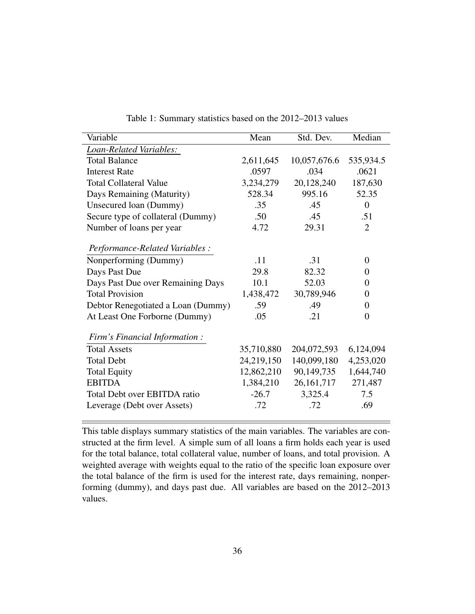<span id="page-35-0"></span>

| Variable                           | Mean       | Std. Dev.    | Median           |
|------------------------------------|------------|--------------|------------------|
| Loan-Related Variables:            |            |              |                  |
| <b>Total Balance</b>               | 2,611,645  | 10,057,676.6 | 535,934.5        |
| <b>Interest Rate</b>               | .0597      | .034         | .0621            |
| <b>Total Collateral Value</b>      | 3,234,279  | 20,128,240   | 187,630          |
| Days Remaining (Maturity)          | 528.34     | 995.16       | 52.35            |
| Unsecured loan (Dummy)             | .35        | .45          | $\overline{0}$   |
| Secure type of collateral (Dummy)  | .50        | .45          | .51              |
| Number of loans per year           | 4.72       | 29.31        | $\overline{2}$   |
| Performance-Related Variables :    |            |              |                  |
| Nonperforming (Dummy)              | .11        | .31          | $\theta$         |
| Days Past Due                      | 29.8       | 82.32        | $\boldsymbol{0}$ |
| Days Past Due over Remaining Days  | 10.1       | 52.03        | 0                |
| <b>Total Provision</b>             | 1,438,472  | 30,789,946   | $\boldsymbol{0}$ |
| Debtor Renegotiated a Loan (Dummy) | .59        | .49          | 0                |
| At Least One Forborne (Dummy)      | .05        | .21          | $\Omega$         |
| Firm's Financial Information:      |            |              |                  |
| <b>Total Assets</b>                | 35,710,880 | 204,072,593  | 6,124,094        |
| <b>Total Debt</b>                  | 24,219,150 | 140,099,180  | 4,253,020        |
| <b>Total Equity</b>                | 12,862,210 | 90,149,735   | 1,644,740        |
| <b>EBITDA</b>                      | 1,384,210  | 26, 161, 717 | 271,487          |
| Total Debt over EBITDA ratio       | $-26.7$    | 3,325.4      | 7.5              |
| Leverage (Debt over Assets)        | .72        | .72          | .69              |

Table 1: Summary statistics based on the 2012–2013 values

This table displays summary statistics of the main variables. The variables are constructed at the firm level. A simple sum of all loans a firm holds each year is used for the total balance, total collateral value, number of loans, and total provision. A weighted average with weights equal to the ratio of the specific loan exposure over the total balance of the firm is used for the interest rate, days remaining, nonperforming (dummy), and days past due. All variables are based on the 2012–2013 values.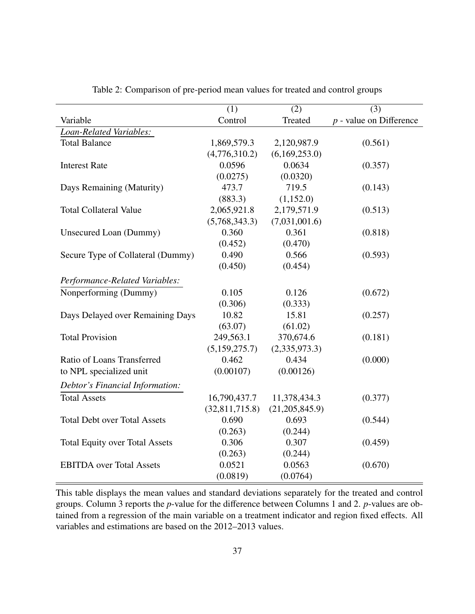<span id="page-36-0"></span>

|                                       | (1)            | $\overline{(2)}$ | $\overline{(3)}$          |
|---------------------------------------|----------------|------------------|---------------------------|
| Variable                              | Control        | Treated          | $p$ - value on Difference |
| Loan-Related Variables:               |                |                  |                           |
| <b>Total Balance</b>                  | 1,869,579.3    | 2,120,987.9      | (0.561)                   |
|                                       | (4,776,310.2)  | (6,169,253.0)    |                           |
| <b>Interest Rate</b>                  | 0.0596         | 0.0634           | (0.357)                   |
|                                       | (0.0275)       | (0.0320)         |                           |
| Days Remaining (Maturity)             | 473.7          | 719.5            | (0.143)                   |
|                                       | (883.3)        | (1,152.0)        |                           |
| <b>Total Collateral Value</b>         | 2,065,921.8    | 2,179,571.9      | (0.513)                   |
|                                       | (5,768,343.3)  | (7,031,001.6)    |                           |
| Unsecured Loan (Dummy)                | 0.360          | 0.361            | (0.818)                   |
|                                       | (0.452)        | (0.470)          |                           |
| Secure Type of Collateral (Dummy)     | 0.490          | 0.566            | (0.593)                   |
|                                       | (0.450)        | (0.454)          |                           |
| Performance-Related Variables:        |                |                  |                           |
| Nonperforming (Dummy)                 | 0.105          | 0.126            | (0.672)                   |
|                                       | (0.306)        | (0.333)          |                           |
| Days Delayed over Remaining Days      | 10.82          | 15.81            | (0.257)                   |
|                                       | (63.07)        | (61.02)          |                           |
| <b>Total Provision</b>                | 249,563.1      | 370,674.6        | (0.181)                   |
|                                       | (5,159,275.7)  | (2,335,973.3)    |                           |
| Ratio of Loans Transferred            | 0.462          | 0.434            | (0.000)                   |
| to NPL specialized unit               | (0.00107)      | (0.00126)        |                           |
| Debtor's Financial Information:       |                |                  |                           |
| <b>Total Assets</b>                   | 16,790,437.7   | 11,378,434.3     | (0.377)                   |
|                                       | (32,811,715.8) | (21, 205, 845.9) |                           |
| <b>Total Debt over Total Assets</b>   | 0.690          | 0.693            | (0.544)                   |
|                                       | (0.263)        | (0.244)          |                           |
| <b>Total Equity over Total Assets</b> | 0.306          | 0.307            | (0.459)                   |
|                                       | (0.263)        | (0.244)          |                           |
| <b>EBITDA</b> over Total Assets       | 0.0521         | 0.0563           | (0.670)                   |
|                                       | (0.0819)       | (0.0764)         |                           |

Table 2: Comparison of pre-period mean values for treated and control groups

This table displays the mean values and standard deviations separately for the treated and control groups. Column 3 reports the *p*-value for the difference between Columns 1 and 2. *p*-values are obtained from a regression of the main variable on a treatment indicator and region fixed effects. All variables and estimations are based on the 2012–2013 values.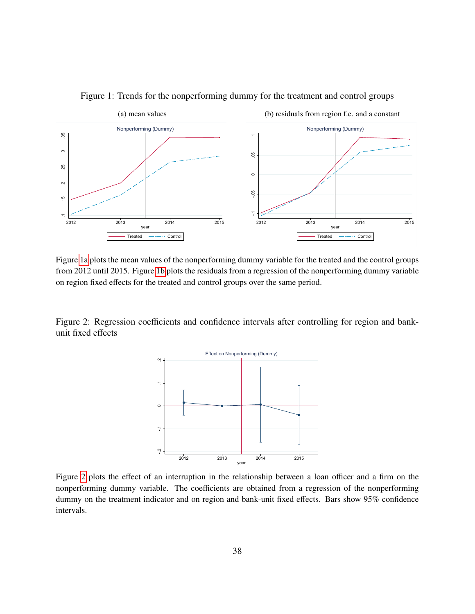<span id="page-37-2"></span>

#### <span id="page-37-0"></span>Figure 1: Trends for the nonperforming dummy for the treatment and control groups

Figure [1a](#page-37-2) plots the mean values of the nonperforming dummy variable for the treated and the control groups from 2012 until 2015. Figure [1b](#page-37-0) plots the residuals from a regression of the nonperforming dummy variable on region fixed effects for the treated and control groups over the same period.

<span id="page-37-1"></span>Figure 2: Regression coefficients and confidence intervals after controlling for region and bankunit fixed effects



Figure [2](#page-37-1) plots the effect of an interruption in the relationship between a loan officer and a firm on the nonperforming dummy variable. The coefficients are obtained from a regression of the nonperforming dummy on the treatment indicator and on region and bank-unit fixed effects. Bars show 95% confidence intervals.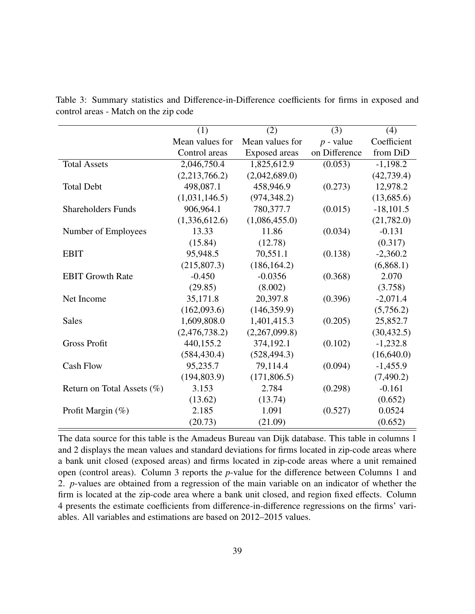<span id="page-38-0"></span>

|                            | (1)             | (2)             | (3)           | (4)         |
|----------------------------|-----------------|-----------------|---------------|-------------|
|                            | Mean values for | Mean values for | $p$ - value   | Coefficient |
|                            | Control areas   | Exposed areas   | on Difference | from DiD    |
| <b>Total Assets</b>        | 2,046,750.4     | 1,825,612.9     | (0.053)       | $-1,198.2$  |
|                            | (2,213,766.2)   | (2,042,689.0)   |               | (42, 739.4) |
| <b>Total Debt</b>          | 498,087.1       | 458,946.9       | (0.273)       | 12,978.2    |
|                            | (1,031,146.5)   | (974, 348.2)    |               | (13,685.6)  |
| <b>Shareholders Funds</b>  | 906,964.1       | 780,377.7       | (0.015)       | $-18,101.5$ |
|                            | (1,336,612.6)   | (1,086,455.0)   |               | (21,782.0)  |
| Number of Employees        | 13.33           | 11.86           | (0.034)       | $-0.131$    |
|                            | (15.84)         | (12.78)         |               | (0.317)     |
| <b>EBIT</b>                | 95,948.5        | 70,551.1        | (0.138)       | $-2,360.2$  |
|                            | (215,807.3)     | (186, 164.2)    |               | (6,868.1)   |
| <b>EBIT Growth Rate</b>    | $-0.450$        | $-0.0356$       | (0.368)       | 2.070       |
|                            | (29.85)         | (8.002)         |               | (3.758)     |
| Net Income                 | 35,171.8        | 20,397.8        | (0.396)       | $-2,071.4$  |
|                            | (162,093.6)     | (146, 359.9)    |               | (5,756.2)   |
| <b>Sales</b>               | 1,609,808.0     | 1,401,415.3     | (0.205)       | 25,852.7    |
|                            | (2,476,738.2)   | (2,267,099.8)   |               | (30, 432.5) |
| <b>Gross Profit</b>        | 440,155.2       | 374,192.1       | (0.102)       | $-1,232.8$  |
|                            | (584, 430.4)    | (528, 494.3)    |               | (16,640.0)  |
| <b>Cash Flow</b>           | 95,235.7        | 79,114.4        | (0.094)       | $-1,455.9$  |
|                            | (194, 803.9)    | (171,806.5)     |               | (7,490.2)   |
| Return on Total Assets (%) | 3.153           | 2.784           | (0.298)       | $-0.161$    |
|                            | (13.62)         | (13.74)         |               | (0.652)     |
| Profit Margin (%)          | 2.185           | 1.091           | (0.527)       | 0.0524      |
|                            | (20.73)         | (21.09)         |               | (0.652)     |

Table 3: Summary statistics and Difference-in-Difference coefficients for firms in exposed and control areas - Match on the zip code

The data source for this table is the Amadeus Bureau van Dijk database. This table in columns 1 and 2 displays the mean values and standard deviations for firms located in zip-code areas where a bank unit closed (exposed areas) and firms located in zip-code areas where a unit remained open (control areas). Column 3 reports the *p*-value for the difference between Columns 1 and 2. *p*-values are obtained from a regression of the main variable on an indicator of whether the firm is located at the zip-code area where a bank unit closed, and region fixed effects. Column 4 presents the estimate coefficients from difference-in-difference regressions on the firms' variables. All variables and estimations are based on 2012–2015 values.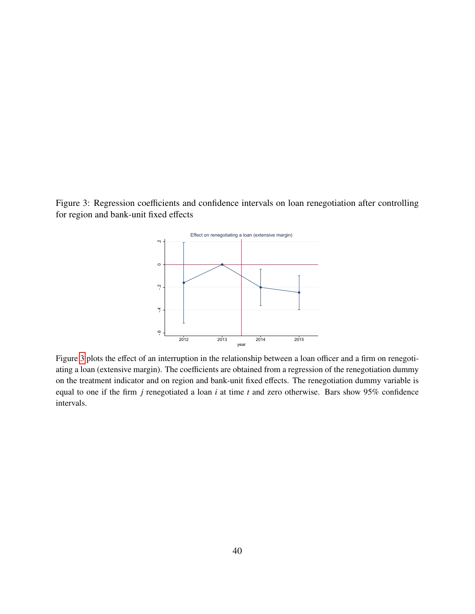<span id="page-39-0"></span>Figure 3: Regression coefficients and confidence intervals on loan renegotiation after controlling for region and bank-unit fixed effects



Figure [3](#page-39-0) plots the effect of an interruption in the relationship between a loan officer and a firm on renegotiating a loan (extensive margin). The coefficients are obtained from a regression of the renegotiation dummy on the treatment indicator and on region and bank-unit fixed effects. The renegotiation dummy variable is equal to one if the firm *j* renegotiated a loan *i* at time *t* and zero otherwise. Bars show 95% confidence intervals.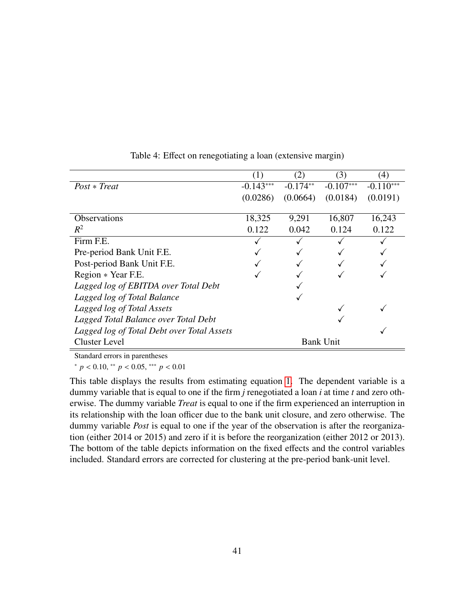<span id="page-40-0"></span>

|                                            |             | (2)        | (3)              | (4)         |
|--------------------------------------------|-------------|------------|------------------|-------------|
| $Post * Treat$                             | $-0.143***$ | $-0.174**$ | $-0.107***$      | $-0.110***$ |
|                                            | (0.0286)    | (0.0664)   | (0.0184)         | (0.0191)    |
|                                            |             |            |                  |             |
| <b>Observations</b>                        | 18,325      | 9,291      | 16,807           | 16,243      |
| $R^2$                                      | 0.122       | 0.042      | 0.124            | 0.122       |
| Firm F.E.                                  |             |            |                  |             |
| Pre-period Bank Unit F.E.                  |             |            |                  |             |
| Post-period Bank Unit F.E.                 |             |            |                  |             |
| Region * Year F.E.                         |             |            |                  |             |
| Lagged log of EBITDA over Total Debt       |             |            |                  |             |
| Lagged log of Total Balance                |             |            |                  |             |
| Lagged log of Total Assets                 |             |            |                  |             |
| Lagged Total Balance over Total Debt       |             |            |                  |             |
| Lagged log of Total Debt over Total Assets |             |            |                  |             |
| <b>Cluster Level</b>                       |             |            | <b>Bank Unit</b> |             |

Table 4: Effect on renegotiating a loan (extensive margin)

Standard errors in parentheses

<sup>∗</sup> *<sup>p</sup>* < <sup>0</sup>.10, ∗∗ *<sup>p</sup>* < <sup>0</sup>.05, ∗∗∗ *<sup>p</sup>* < <sup>0</sup>.<sup>01</sup>

This table displays the results from estimating equation [1.](#page-13-0) The dependent variable is a dummy variable that is equal to one if the firm *j* renegotiated a loan *i* at time *t* and zero otherwise. The dummy variable *Treat* is equal to one if the firm experienced an interruption in its relationship with the loan officer due to the bank unit closure, and zero otherwise. The dummy variable *Post* is equal to one if the year of the observation is after the reorganization (either 2014 or 2015) and zero if it is before the reorganization (either 2012 or 2013). The bottom of the table depicts information on the fixed effects and the control variables included. Standard errors are corrected for clustering at the pre-period bank-unit level.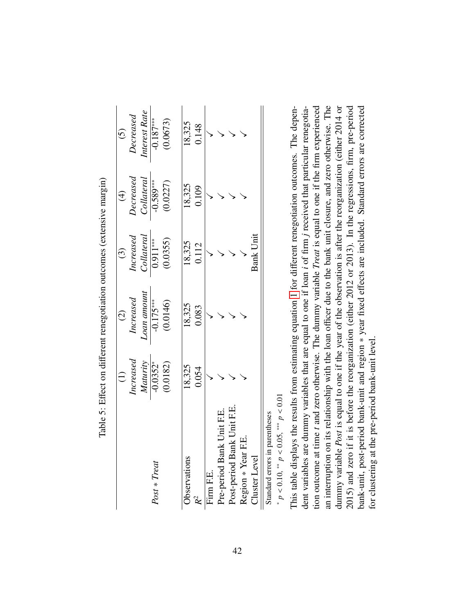|                            |                                | $\widehat{c}$                         |                                                               | $\widehat{\pm}$                                                                                | $\widetilde{S}$                         |
|----------------------------|--------------------------------|---------------------------------------|---------------------------------------------------------------|------------------------------------------------------------------------------------------------|-----------------------------------------|
|                            | $\emph{Increased}$             |                                       |                                                               |                                                                                                |                                         |
|                            | $\frac{Maturity}{-0.0352^{*}}$ | Increased<br>Loan amount<br>-0.175*** | $\frac{Increased}{Collateral} \ \cfrac{Collateral}{0.911***}$ | $\begin{array}{c} \textit{Decreased} \\ \textit{Collateral} \\ \textit{-0.589***} \end{array}$ | Decreased<br>Interest Rate<br>-0.187*** |
| Post * Treat               |                                |                                       |                                                               |                                                                                                |                                         |
|                            | (0.0182)                       | (0.0146)                              | (0.0355)                                                      | (0.0227)                                                                                       | (0.0673)                                |
| Observations               | 18,325                         | 18,325                                |                                                               |                                                                                                | 18,325                                  |
| $\mathcal{R}^2$            | 0.054                          | 0.083                                 | 18,325<br>0.112                                               | 18,325<br>0.109                                                                                | 0.148                                   |
| Firm F.E.                  |                                |                                       |                                                               |                                                                                                |                                         |
| Pre-period Bank Unit F.E.  |                                |                                       |                                                               |                                                                                                |                                         |
| Post-period Bank Unit F.E. |                                |                                       |                                                               |                                                                                                |                                         |
| EE.<br>Region * Year       |                                |                                       |                                                               |                                                                                                |                                         |
| Cluster Level              |                                |                                       | <b>Bank Unit</b>                                              |                                                                                                |                                         |
|                            |                                |                                       |                                                               |                                                                                                |                                         |

Table 5: Effect on different renegotiation outcomes (extensive margin) Table 5: Effect on different renegotiation outcomes (extensive margin)

<span id="page-41-0"></span>Standard errors in parentheses Standard errors in parentheses

\*  $p < 0.10$ , \*\*  $p < 0.05$ , \*\*\*  $p < 0.01$ *p* < 0.10, ∗∗ *p* < 0.05, ∗∗∗ *p* < 0.01

an interruption on its relationship with the loan officer due to the bank unit closure, and zero otherwise. The This table displays the results from estimating equation 1 for different renegotiation outcomes. The dependummy variable Post is equal to one if the year of the observation is after the reorganization (either 2014 or 2015) and zero if it is before the reorganization (either 2012 or 2013). In the regressions, firm, pre-period dent variables are dummy variables that are equal to one if loan *i* of firm *j* received that particular renegotiation outcome at time t and zero otherwise. The dummy variable Treat is equal to one if the firm experienced tion outcome at time *t* and zero otherwise. The dummy variable *Treat* is equal to one if the firm experienced an interruption on its relationship with the loan officer due to the bank unit closure, and zero otherwise. The dummy variable *Post* is equal to one if the year of the observation is after the reorganization (either 2014 or 2015) and zero if it is before the reorganization (either 2012 or 2013). In the regressions, firm, pre-period bank-unit, post-period bank-unit and region \* year fixed effects are included. Standard errors are corrected bank-unit, post-period bank-unit and region ∗ year fixed effects are included. Standard errors are corrected This table displays the results from estimating equation [1](#page-13-0) for different renegotiation outcomes. The dependent variables are dummy variables that are equal to one if loan *i* of firm *j* received that particular renegotiafor clustering at the pre-period bank-unit level. for clustering at the pre-period bank-unit level.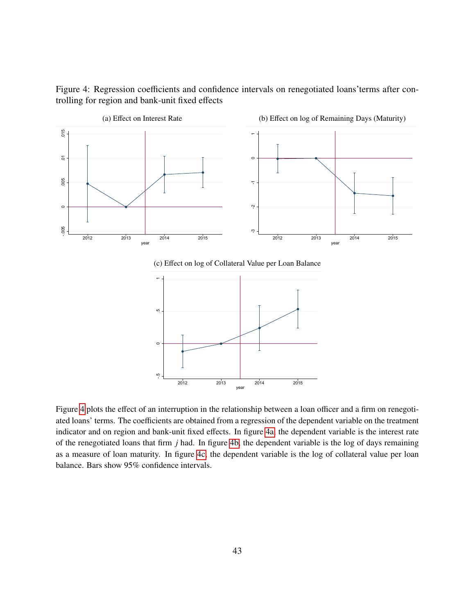Figure 4: Regression coefficients and confidence intervals on renegotiated loans'terms after controlling for region and bank-unit fixed effects

<span id="page-42-1"></span>

<span id="page-42-2"></span><span id="page-42-0"></span>(c) Effect on log of Collateral Value per Loan Balance



Figure [4](#page-42-0) plots the effect of an interruption in the relationship between a loan officer and a firm on renegotiated loans' terms. The coefficients are obtained from a regression of the dependent variable on the treatment indicator and on region and bank-unit fixed effects. In figure [4a,](#page-42-1) the dependent variable is the interest rate of the renegotiated loans that firm *j* had. In figure [4b,](#page-42-2) the dependent variable is the log of days remaining as a measure of loan maturity. In figure [4c,](#page-42-0) the dependent variable is the log of collateral value per loan balance. Bars show 95% confidence intervals.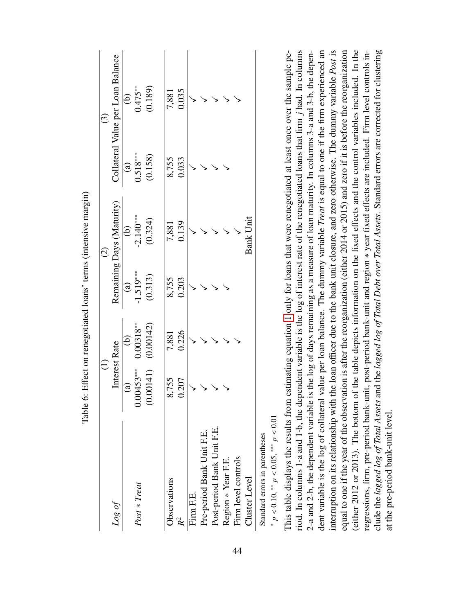|                              |                   | $\widehat{\ominus}$ |               | $\widehat{c}$             |                                      | $\odot$                           |
|------------------------------|-------------------|---------------------|---------------|---------------------------|--------------------------------------|-----------------------------------|
| Log of                       |                   | Interest Rate       |               | Remaining Days (Maturity) |                                      | Collateral Value per Loan Balance |
|                              | $\widehat{a}$     | $\widehat{e}$       | $\widehat{a}$ | $\widehat{e}$             |                                      |                                   |
| Post * Treat                 | 00453***<br>ă     | $0.00318***$        | $-1.519***$   | $-2.140***$               |                                      | (b)<br>$0.475**$                  |
|                              | 00141)<br>$\circ$ | (0.00142)           | (0.313)       | (0.324)                   | $\overline{0.518*** \over 0.518***}$ | (0.189)                           |
| Observations                 | 8,755             | 7,881               | 8,755         | 7,881                     | 8,755                                |                                   |
|                              | 0.207             | 0.226               | 0.203         | 0.139                     | 0.033                                | 7,881<br>0.035                    |
| Firm F.E.                    |                   |                     |               |                           |                                      |                                   |
| Pre-period Bank Unit F.E.    |                   |                     |               |                           |                                      |                                   |
| Post-period Bank Unit F.E.   |                   |                     |               |                           |                                      |                                   |
| Region * Year F.E.           |                   |                     |               |                           |                                      |                                   |
| Firm level controls          |                   |                     |               |                           |                                      |                                   |
| Cluster Level                |                   |                     |               | <b>Bank Unit</b>          |                                      |                                   |
| Ctandard among in normathooo |                   |                     |               |                           |                                      |                                   |

<span id="page-43-0"></span>Table 6: Effect on renegotiated loans' terms (intensive margin) Table 6: Effect on renegotiated loans' terms (intensive margin)

> standard errors in parentheses Standard errors in parentheses

\*  $p < 0.10$ , \*\*  $p < 0.05$ , \*\*\*  $p < 0.01$ *p* < 0.10, ∗∗ *p* < 0.05, ∗∗∗ *p* < 0.01

riod. In columns 1-a and 1-b, the dependent variable is the log of interest rate of the renegotiated loans that firm *j* had. In columns nterruption on its relationship with the loan officer due to the bank unit closure, and zero otherwise. The dummy variable Post is (either 2012 or 2013). The bottom of the table depicts information on the fixed effects and the control variables included. In the dent variable is the log of collateral value per loan balance. The dummy variable Treat is equal to one if the firm experienced an equal to one if the year of the observation is after the reorganization (either 2014 or 2015) and zero if it is before the reorganization This table displays the results from estimating equation [1](#page-13-0) only for loans that were renegotiated at least once over the sample period. In columns 1-a and 1-b, the dependent variable is the log of interest rate of the renegotiated loans that firm *j* had. In columns 2-a and 2-b, the dependent variable is the log of days remaining as a measure of loan maturity. In columns 3-a and 3-b, the depen-2-a and 2-b, the dependent variable is the log of days remaining as a measure of loan maturity. In columns 3-a and 3-b, the dependent variable is the log of collateral value per loan balance. The dummy variable *Treat* is equal to one if the firm experienced an interruption on its relationship with the loan officer due to the bank unit closure, and zero otherwise. The dummy variable *Post* is equal to one if the year of the observation is after the reorganization (either 2014 or 2015) and zero if it is before the reorganization (either 2012 or 2013). The bottom of the table depicts information on the fixed effects and the control variables included. In the regressions, firm, pre-period bank-unit, post-period bank-unit and region \* year fixed effects are included. Firm level controls inregressions, firm, pre-period bank-unit, post-period bank-unit and region ∗ year fixed effects are included. Firm level controls include the lagged log of Total Assets and the lagged log of Total Debt over Total Assets. Standard errors are corrected for clustering clude the *lagged log of Total Assets* and the *lagged log of Total Debt over Total Assets*. Standard errors are corrected for clustering This table displays the results from estimating equation 1 only for loans that were renegotiated at least once over the sample peat the pre-period bank-unit level. at the pre-period bank-unit level.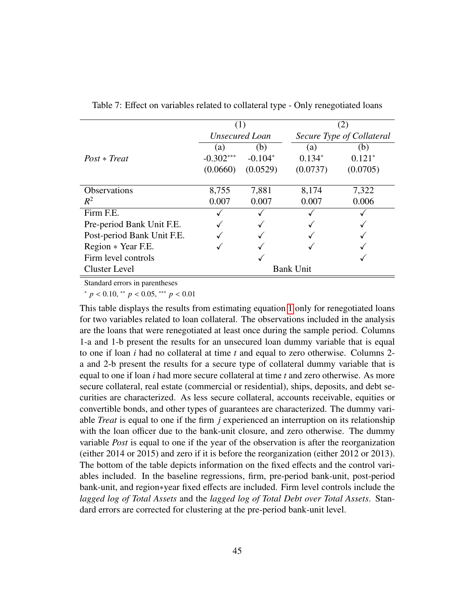<span id="page-44-0"></span>

|                            |             | (1)                   |                  | (2)                       |
|----------------------------|-------------|-----------------------|------------------|---------------------------|
|                            |             | <b>Unsecured Loan</b> |                  | Secure Type of Collateral |
|                            | (a)         | (b)                   | (a)              | (b)                       |
| $Post * Treat$             | $-0.302***$ | $-0.104*$             | $0.134*$         | $0.121*$                  |
|                            | (0.0660)    | (0.0529)              | (0.0737)         | (0.0705)                  |
|                            |             |                       |                  |                           |
| <b>Observations</b>        | 8,755       | 7,881                 | 8,174            | 7,322                     |
| $R^2$                      | 0.007       | 0.007                 | 0.007            | 0.006                     |
| Firm F.E.                  |             |                       |                  |                           |
| Pre-period Bank Unit F.E.  |             |                       |                  |                           |
| Post-period Bank Unit F.E. |             |                       |                  |                           |
| Region * Year F.E.         |             |                       |                  |                           |
| Firm level controls        |             |                       |                  |                           |
| Cluster Level              |             |                       | <b>Bank Unit</b> |                           |

Table 7: Effect on variables related to collateral type - Only renegotiated loans

Standard errors in parentheses

<sup>∗</sup> *<sup>p</sup>* < <sup>0</sup>.10, ∗∗ *<sup>p</sup>* < <sup>0</sup>.05, ∗∗∗ *<sup>p</sup>* < <sup>0</sup>.<sup>01</sup>

This table displays the results from estimating equation [1](#page-13-0) only for renegotiated loans for two variables related to loan collateral. The observations included in the analysis are the loans that were renegotiated at least once during the sample period. Columns 1-a and 1-b present the results for an unsecured loan dummy variable that is equal to one if loan *i* had no collateral at time *t* and equal to zero otherwise. Columns 2 a and 2-b present the results for a secure type of collateral dummy variable that is equal to one if loan *i* had more secure collateral at time *t* and zero otherwise. As more secure collateral, real estate (commercial or residential), ships, deposits, and debt securities are characterized. As less secure collateral, accounts receivable, equities or convertible bonds, and other types of guarantees are characterized. The dummy variable *Treat* is equal to one if the firm *j* experienced an interruption on its relationship with the loan officer due to the bank-unit closure, and zero otherwise. The dummy variable *Post* is equal to one if the year of the observation is after the reorganization (either 2014 or 2015) and zero if it is before the reorganization (either 2012 or 2013). The bottom of the table depicts information on the fixed effects and the control variables included. In the baseline regressions, firm, pre-period bank-unit, post-period bank-unit, and region∗year fixed effects are included. Firm level controls include the *lagged log of Total Assets* and the *lagged log of Total Debt over Total Assets*. Standard errors are corrected for clustering at the pre-period bank-unit level.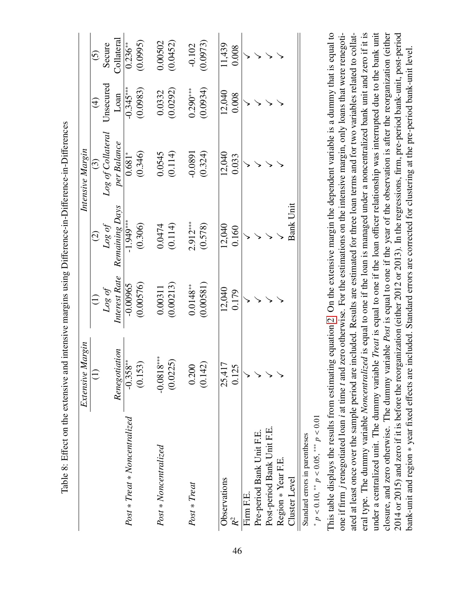|                                | Extensive Margin |                         |                          | Intensive Margin    |                         |                         |
|--------------------------------|------------------|-------------------------|--------------------------|---------------------|-------------------------|-------------------------|
|                                |                  |                         | $\widehat{C}$            | $\odot$             | $\widehat{\mathcal{F}}$ | $\widehat{c}$           |
|                                |                  |                         |                          | Log of Collateral   | Jnsecured               | Secure                  |
|                                | Renegotiation    | Log of<br>Interest Rate | Log of<br>Remaining Days | per Balance         | Loan                    | Collateral              |
| $Post * Treat * Noncentrality$ | $-0.358**$       | $-0.00965$              | $-1.949***$              | $\frac{1}{0.681^*}$ | $-0.345***$             | $\overline{0.236}^{**}$ |
|                                | (0.153)          | (0.00576)               | (0.306)                  | (0.346)             | (0.0983)                | (0.0995)                |
| $Post * Noncentralized$        | $-0.0818***$     | 0.00311                 | 0.0474                   | 0.0545              | 0.0332                  | 0.00502                 |
|                                | (0.0225)         | (0.00213)               | (0.114)                  | (0.114)             | (0.0292)                | (0.0452)                |
| Post * Treat                   | 0.200            | $0.0148**$              | $2.912***$               | $-0.0891$           | $0.290***$              | $-0.102$                |
|                                | (0.142)          | (0.00581)               | (0.578)                  | (0.324)             | (0.0934)                | (0.0973)                |
| Observations                   | 25,417           | 12,040                  | 12,040                   | 12,040              | 12,040                  | 11,439                  |
|                                | 0.125            | 0.179                   | 0.160                    | 0.033               | 0.008                   | 0.008                   |
| Firm F.E.                      |                  |                         |                          |                     |                         |                         |
| Pre-period Bank Unit F.E.      |                  |                         |                          |                     |                         |                         |
| Post-period Bank Unit F.E.     |                  |                         |                          |                     |                         |                         |
| Region * Year F.E.             |                  |                         |                          |                     |                         |                         |
| Cluster Level                  |                  |                         | <b>Bank Unit</b>         |                     |                         |                         |
| Standard errors in parentheses |                  |                         |                          |                     |                         |                         |

<span id="page-45-0"></span>

| $\frac{3}{5}$                 |
|-------------------------------|
| :                             |
| $\overline{a}$<br>I<br>؟<br>ا |
|                               |
|                               |
|                               |
|                               |
|                               |
| 2.772                         |
| .<br>י                        |
|                               |
| ؟<br>ا<br>(                   |
|                               |
| -<br>F<br>ļ                   |

This table displays the results from estimating equation 2. On the extensive margin the dependent variable is a dummy that is equal to one if firm j renegotiated loan i at time t and zero otherwise. For the estimations on the intensive margin, only loans that were renegotieral type. The dummy variable Noncentralized is equal to one if the loan is managed under a noncentralized bank unit and zero if it is ated at least once over the sample period are included. Results are estimated for three loan terms and for two variables related to collateral type. The dummy variable *Noncentralized* is equal to one if the loan is managed under a noncentralized bank unit and zero if it is closure, and zero otherwise. The dummy variable *Post* is equal to one if the year of the observation is after the reorganization (either 2014 or 2015) and zero if it is before the reorganization (either 2012 or 2013). In the regressions, firm, pre-period bank-unit, post-period This table displays the results from estimating equation [2.](#page-21-0) On the extensive margin the dependent variable is a dummy that is equal to one if firm *j* renegotiated loan *i* at time *t* and zero otherwise. For the estimations on the intensive margin, only loans that were renegotiated at least once over the sample period are included. Results are estimated for three loan terms and for two variables related to collatunder a centralized unit. The dummy variable Treat is equal to one if the loan officer relationship was interrupted due to the bank unit under a centralized unit. The dummy variable *Treat* is equal to one if the loan officer relationship was interrupted due to the bank unit closure, and zero otherwise. The dummy variable *Post* is equal to one if the year of the observation is after the reorganization (either 2014 or 2015) and zero if it is before the reorganization (either 2012 or 2013). In the regressions, firm, pre-period bank-unit, post-period bank-unit and region \* year fixed effects are included. Standard errors are corrected for clustering at the pre-period bank-unit level. bank-unit and region ∗ year fixed effects are included. Standard errors are corrected for clustering at the pre-period bank-unit level. *p* < 0.10, ∗∗ *p* < 0.05, ∗∗∗ *p* < 0.01

*\**  $p$  < 0.10, <sup>\*\*</sup>  $p$  < 0.05, <sup>\*\*\*</sup>  $p$  < 0.01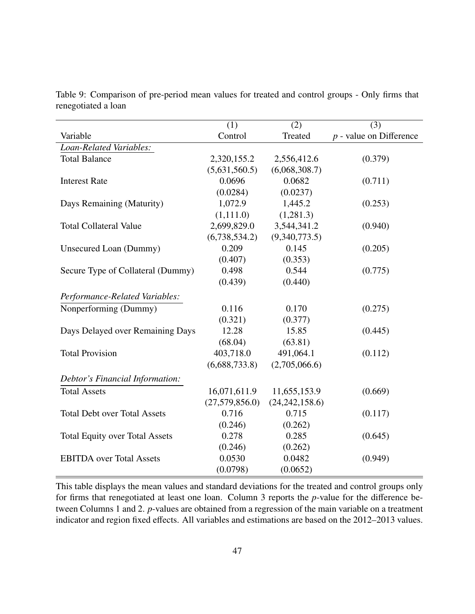<span id="page-46-0"></span>

|                                       | (1)            | (2)              | (3)                       |
|---------------------------------------|----------------|------------------|---------------------------|
| Variable                              | Control        | Treated          | $p$ - value on Difference |
| Loan-Related Variables:               |                |                  |                           |
| <b>Total Balance</b>                  | 2,320,155.2    | 2,556,412.6      | (0.379)                   |
|                                       | (5,631,560.5)  | (6,068,308.7)    |                           |
| <b>Interest Rate</b>                  | 0.0696         | 0.0682           | (0.711)                   |
|                                       | (0.0284)       | (0.0237)         |                           |
| Days Remaining (Maturity)             | 1,072.9        | 1,445.2          | (0.253)                   |
|                                       | (1,111.0)      | (1,281.3)        |                           |
| <b>Total Collateral Value</b>         | 2,699,829.0    | 3,544,341.2      | (0.940)                   |
|                                       | (6,738,534.2)  | (9,340,773.5)    |                           |
| Unsecured Loan (Dummy)                | 0.209          | 0.145            | (0.205)                   |
|                                       | (0.407)        | (0.353)          |                           |
| Secure Type of Collateral (Dummy)     | 0.498          | 0.544            | (0.775)                   |
|                                       | (0.439)        | (0.440)          |                           |
| Performance-Related Variables:        |                |                  |                           |
| Nonperforming (Dummy)                 | 0.116          | 0.170            | (0.275)                   |
|                                       | (0.321)        | (0.377)          |                           |
| Days Delayed over Remaining Days      | 12.28          | 15.85            | (0.445)                   |
|                                       | (68.04)        | (63.81)          |                           |
| <b>Total Provision</b>                | 403,718.0      | 491,064.1        | (0.112)                   |
|                                       | (6,688,733.8)  | (2,705,066.6)    |                           |
| Debtor's Financial Information:       |                |                  |                           |
| <b>Total Assets</b>                   | 16,071,611.9   | 11,655,153.9     | (0.669)                   |
|                                       | (27,579,856.0) | (24, 242, 158.6) |                           |
| <b>Total Debt over Total Assets</b>   | 0.716          | 0.715            | (0.117)                   |
|                                       | (0.246)        | (0.262)          |                           |
| <b>Total Equity over Total Assets</b> | 0.278          | 0.285            | (0.645)                   |
|                                       | (0.246)        | (0.262)          |                           |
| <b>EBITDA</b> over Total Assets       | 0.0530         | 0.0482           | (0.949)                   |
|                                       | (0.0798)       | (0.0652)         |                           |

Table 9: Comparison of pre-period mean values for treated and control groups - Only firms that renegotiated a loan

This table displays the mean values and standard deviations for the treated and control groups only for firms that renegotiated at least one loan. Column 3 reports the *p*-value for the difference between Columns 1 and 2. *p*-values are obtained from a regression of the main variable on a treatment indicator and region fixed effects. All variables and estimations are based on the 2012–2013 values.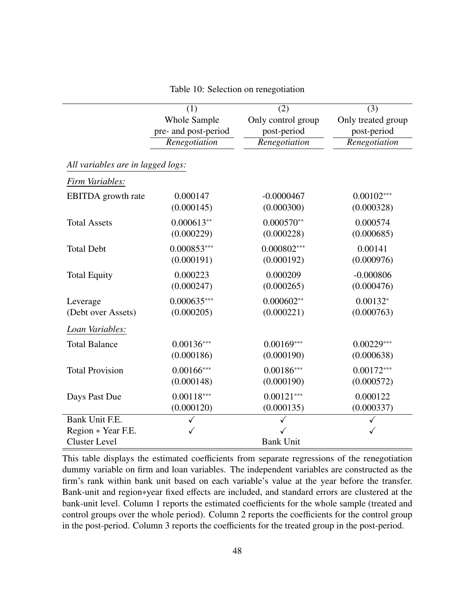<span id="page-47-0"></span>

|                                   | (1)                  | (2)                | (3)                |
|-----------------------------------|----------------------|--------------------|--------------------|
|                                   | Whole Sample         | Only control group | Only treated group |
|                                   | pre- and post-period | post-period        | post-period        |
|                                   | Renegotiation        | Renegotiation      | Renegotiation      |
|                                   |                      |                    |                    |
| All variables are in lagged logs: |                      |                    |                    |
| Firm Variables:                   |                      |                    |                    |
| <b>EBITDA</b> growth rate         | 0.000147             | $-0.0000467$       | $0.00102***$       |
|                                   | (0.000145)           | (0.000300)         | (0.000328)         |
| <b>Total Assets</b>               | $0.000613**$         | $0.000570**$       | 0.000574           |
|                                   | (0.000229)           | (0.000228)         | (0.000685)         |
| <b>Total Debt</b>                 | $0.000853***$        | $0.000802***$      | 0.00141            |
|                                   | (0.000191)           | (0.000192)         | (0.000976)         |
| <b>Total Equity</b>               | 0.000223             | 0.000209           | $-0.000806$        |
|                                   | (0.000247)           | (0.000265)         | (0.000476)         |
| Leverage                          | $0.000635***$        | $0.000602**$       | $0.00132*$         |
| (Debt over Assets)                | (0.000205)           | (0.000221)         | (0.000763)         |
| Loan Variables:                   |                      |                    |                    |
| <b>Total Balance</b>              | $0.00136***$         | $0.00169***$       | $0.00229***$       |
|                                   | (0.000186)           | (0.000190)         | (0.000638)         |
| <b>Total Provision</b>            | $0.00166$ ***        | $0.00186***$       | $0.00172***$       |
|                                   | (0.000148)           | (0.000190)         | (0.000572)         |
| Days Past Due                     | $0.00118***$         | $0.00121***$       | 0.000122           |
|                                   | (0.000120)           | (0.000135)         | (0.000337)         |
| Bank Unit F.E.                    |                      |                    |                    |
| Region * Year F.E.                |                      |                    |                    |
| <b>Cluster Level</b>              |                      | <b>Bank Unit</b>   |                    |

Table 10: Selection on renegotiation

This table displays the estimated coefficients from separate regressions of the renegotiation dummy variable on firm and loan variables. The independent variables are constructed as the firm's rank within bank unit based on each variable's value at the year before the transfer. Bank-unit and region∗year fixed effects are included, and standard errors are clustered at the bank-unit level. Column 1 reports the estimated coefficients for the whole sample (treated and control groups over the whole period). Column 2 reports the coefficients for the control group in the post-period. Column 3 reports the coefficients for the treated group in the post-period.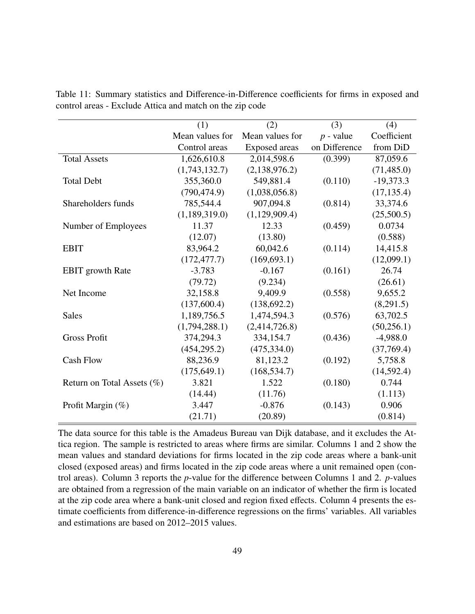<span id="page-48-0"></span>

|                               | (1)             | (2)             | (3)           | (4)         |
|-------------------------------|-----------------|-----------------|---------------|-------------|
|                               | Mean values for | Mean values for | $p$ - value   | Coefficient |
|                               | Control areas   | Exposed areas   | on Difference | from DiD    |
| <b>Total Assets</b>           | 1,626,610.8     | 2,014,598.6     | (0.399)       | 87,059.6    |
|                               | (1,743,132.7)   | (2,138,976.2)   |               | (71, 485.0) |
| <b>Total Debt</b>             | 355,360.0       | 549,881.4       | (0.110)       | $-19,373.3$ |
|                               | (790, 474.9)    | (1,038,056.8)   |               | (17, 135.4) |
| Shareholders funds            | 785,544.4       | 907,094.8       | (0.814)       | 33,374.6    |
|                               | (1,189,319.0)   | (1,129,909.4)   |               | (25,500.5)  |
| Number of Employees           | 11.37           | 12.33           | (0.459)       | 0.0734      |
|                               | (12.07)         | (13.80)         |               | (0.588)     |
| <b>EBIT</b>                   | 83,964.2        | 60,042.6        | (0.114)       | 14,415.8    |
|                               | (172, 477.7)    | (169, 693.1)    |               | (12,099.1)  |
| <b>EBIT</b> growth Rate       | $-3.783$        | $-0.167$        | (0.161)       | 26.74       |
|                               | (79.72)         | (9.234)         |               | (26.61)     |
| Net Income                    | 32,158.8        | 9,409.9         | (0.558)       | 9,655.2     |
|                               | (137,600.4)     | (138, 692.2)    |               | (8,291.5)   |
| <b>Sales</b>                  | 1,189,756.5     | 1,474,594.3     | (0.576)       | 63,702.5    |
|                               | (1,794,288.1)   | (2,414,726.8)   |               | (50, 256.1) |
| <b>Gross Profit</b>           | 374,294.3       | 334,154.7       | (0.436)       | $-4,988.0$  |
|                               | (454, 295.2)    | (475, 334.0)    |               | (37,769.4)  |
| <b>Cash Flow</b>              | 88,236.9        | 81,123.2        | (0.192)       | 5,758.8     |
|                               | (175, 649.1)    | (168, 534.7)    |               | (14, 592.4) |
| Return on Total Assets $(\%)$ | 3.821           | 1.522           | (0.180)       | 0.744       |
|                               | (14.44)         | (11.76)         |               | (1.113)     |
| Profit Margin (%)             | 3.447           | $-0.876$        | (0.143)       | 0.906       |
|                               | (21.71)         | (20.89)         |               | (0.814)     |

Table 11: Summary statistics and Difference-in-Difference coefficients for firms in exposed and control areas - Exclude Attica and match on the zip code

The data source for this table is the Amadeus Bureau van Dijk database, and it excludes the Attica region. The sample is restricted to areas where firms are similar. Columns 1 and 2 show the mean values and standard deviations for firms located in the zip code areas where a bank-unit closed (exposed areas) and firms located in the zip code areas where a unit remained open (control areas). Column 3 reports the *p*-value for the difference between Columns 1 and 2. *p*-values are obtained from a regression of the main variable on an indicator of whether the firm is located at the zip code area where a bank-unit closed and region fixed effects. Column 4 presents the estimate coefficients from difference-in-difference regressions on the firms' variables. All variables and estimations are based on 2012–2015 values.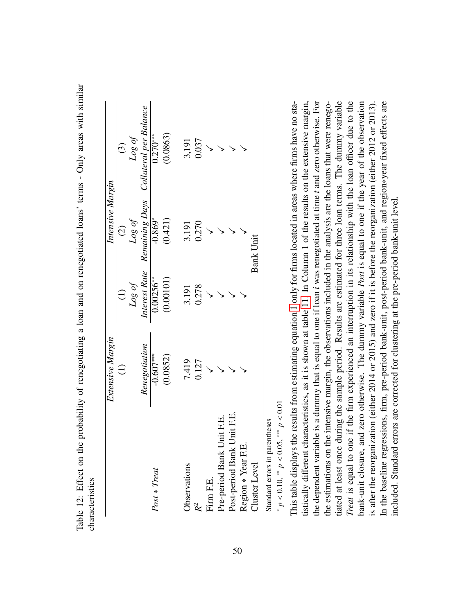| Ş<br>¢<br>l                |  |
|----------------------------|--|
| A DII TIM html             |  |
|                            |  |
| Table 12: $E$ ffect on the |  |
| 12.1                       |  |
|                            |  |
|                            |  |

|                                | Extensive Margin              |             | Intensive Margin |                                                     |
|--------------------------------|-------------------------------|-------------|------------------|-----------------------------------------------------|
|                                | $\widehat{\mathord{\subset}}$ |             | $\widehat{c}$    | $\ddot{\text{c}}$                                   |
|                                |                               | Log of      | Log of           | Log of                                              |
|                                | Renegotiation                 |             |                  | Interest Rate Remaining Days Collateral per Balance |
| Post * Treat                   | $-0.607***$                   | $0.00256**$ | $-0.869*$        | $0.270***$                                          |
|                                | (0.0852)                      | (0.00101)   | (0.421)          | (0.0863)                                            |
| Observations                   | 7,419                         | 3,191       | 3,191            | 3,191                                               |
| $R^2$                          | 0.127                         | 0.278       | 0.270            | 0.037                                               |
| Firm F.E.                      |                               |             |                  |                                                     |
| Pre-period Bank Unit F.E.      |                               |             |                  |                                                     |
| Post-period Bank Unit F.E.     |                               |             |                  |                                                     |
| Region * Year F.E.             |                               |             |                  |                                                     |
| Cluster Level                  |                               |             | <b>Bank Unit</b> |                                                     |
| Standard errore in narentheees |                               |             |                  |                                                     |

<span id="page-49-0"></span>Standard errors in parentheses Standard errors in parentheses

\*  $p < 0.10$ , \*\*  $p < 0.05$ , \*\*\*  $p < 0.01$ *p* < 0.10, ∗∗ *p* < 0.05, ∗∗∗ *p* < 0.01

iated at least once during the sample period. Results are estimated for three loan terms. The dummy variable Treat is equal to one if the firm experienced an interruption in its relationship with the loan officer due to the This table displays the results from estimating equation 1 only for firms located in areas where firms have no statistically different characteristics, as it is shown at table 11. In Column 1 of the results on the extensive margin, the dependent variable is a dummy that is equal to one if loan *i* was renegotiated at time t and zero otherwise. For the dependent variable is a dummy that is equal to one if loan *i* was renegotiated at time *t* and zero otherwise. For the estimations on the intensive margin, the observations included in the analysis are the loans that were renegobank-unit closure, and zero otherwise. The dummy variable Post is equal to one if the year of the observation bank-unit closure, and zero otherwise. The dummy variable *Post* is equal to one if the year of the observation in the baseline regressions, firm, pre-period bank-unit, post-period bank-unit, and region\*year fixed effects are This table displays the results from estimating equation [1](#page-13-0) only for firms located in areas where firms have no statistically different characteristics, as it is shown at table [11.](#page-48-0) In Column 1 of the results on the extensive margin, the estimations on the intensive margin, the observations included in the analysis are the loans that were renegotiated at least once during the sample period. Results are estimated for three loan terms. The dummy variable *Treat* is equal to one if the firm experienced an interruption in its relationship with the loan officer due to the is after the reorganization (either 2014 or 2015) and zero if it is before the reorganization (either 2012 or 2013). is after the reorganization (either 2014 or 2015) and zero if it is before the reorganization (either 2012 or 2013). In the baseline regressions, firm, pre-period bank-unit, post-period bank-unit, and region∗year fixed effects are ncluded. Standard errors are corrected for clustering at the pre-period bank-unit level. included. Standard errors are corrected for clustering at the pre-period bank-unit level.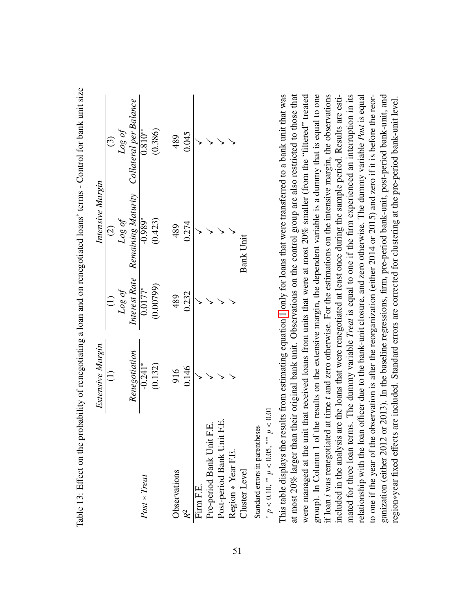|                                 | Extensive Margin |                        | Intensive Margin |                                           |
|---------------------------------|------------------|------------------------|------------------|-------------------------------------------|
|                                 | $\widehat{\Xi}$  | $\widehat{z}$          | $\widehat{c}$    | $\odot$                                   |
|                                 |                  | $\log of$              | $\log of$        | Log of                                    |
|                                 | Renegotiation    | Interest Rate          |                  | Remaining Maturity Collateral per Balance |
| $Post * Treat$                  | $-0.241*$        | $\frac{1}{0.0177^{*}}$ | $-0.989*$        | $0.810**$                                 |
|                                 | (0.132)          | (0.00799)              | (0.423)          | (0.386)                                   |
| Observations                    | 916              | 489                    | 489              | 489                                       |
| $\mathcal{R}^2$                 | 0.146            | 0.232                  | 0.274            | 0.045                                     |
| Firm F.E.                       |                  |                        |                  |                                           |
| Н.<br>Н<br>Pre-period Bank Unit |                  |                        |                  |                                           |
| Post-period Bank Unit F.E.      |                  |                        |                  |                                           |
| Region * Year F.E.              |                  |                        |                  |                                           |
| Cluster Level                   |                  |                        | Bank Unit        |                                           |
|                                 |                  |                        |                  |                                           |

Table 13: Effect on the probability of renegotiating a loan and on renegotiated loans' terms - Control for bank unit size Table 13: Effect on the probability of renegotiating a loan and on renegotiated loans' terms - Control for bank unit size

<span id="page-50-0"></span>Standard errors in parentheses Standard errors in parentheses

 $p < 0.10$ , \*\*  $p < 0.05$ , \*\*\*  $p < 0.01$ *p* < 0.10, ∗∗ *p* < 0.05, ∗∗∗ *p* < 0.01

∗

at most 20% larger than their original bank unit. Observations on the control group are also restricted to those that were managed at the unit that received loans from units that were at most 20% smaller (from the "filtered" treated This table displays the results from estimating equation 1 only for loans that were transferred to a bank unit that was at most 20% larger than their original bank unit. Observations on the control group are also restricted to those that were managed at the unit that received loans from units that were at most 20% smaller (from the "filtered" treated group). In Column 1 of the results on the extensive margin, the dependent variable is a dummy that is equal to one if loan *i* was renegotiated at time t and zero otherwise. For the estimations on the intensive margin, the observations included in the analysis are the loans that were renegotiated at least once during the sample period. Results are estimated for three loan terms. The dummy variable Treat is equal to one if the firm experienced an interruption in its relationship with the loan officer due to the bank-unit closure, and zero otherwise. The dummy variable Post is equal to one if the year of the observation is after the reorganization (either 2014 or 2015) and zero if it is before the reorganization (either 2012 or 2013). In the baseline regressions, firm, pre-period bank-unit, post-period bank-unit, and ganization (either 2012 or 2013). In the baseline regressions, firm, pre-period bank-unit, post-period bank-unit, and This table displays the results from estimating equation [1](#page-13-0) only for loans that were transferred to a bank unit that was group). In Column 1 of the results on the extensive margin, the dependent variable is a dummy that is equal to one if loan *i* was renegotiated at time *t* and zero otherwise. For the estimations on the intensive margin, the observations included in the analysis are the loans that were renegotiated at least once during the sample period. Results are estimated for three loan terms. The dummy variable *Treat* is equal to one if the firm experienced an interruption in its relationship with the loan officer due to the bank-unit closure, and zero otherwise. The dummy variable *Post* is equal to one if the year of the observation is after the reorganization (either 2014 or 2015) and zero if it is before the reorregion\*year fixed effects are included. Standard errors are corrected for clustering at the pre-period bank-unit level. region∗year fixed effects are included. Standard errors are corrected for clustering at the pre-period bank-unit level.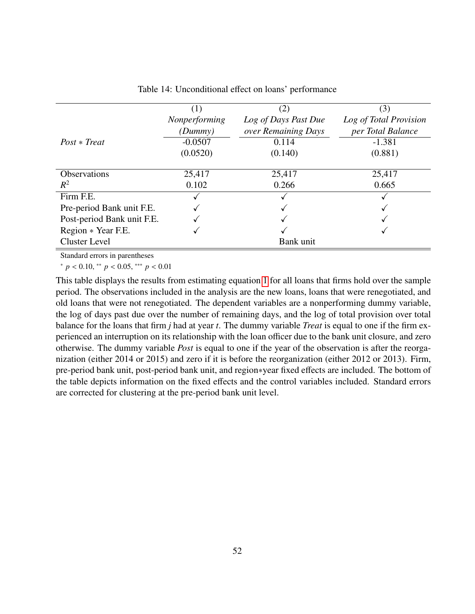<span id="page-51-0"></span>

|                            | (1)<br>Nonperforming<br>(Dummy) | (2)<br>Log of Days Past Due<br>over Remaining Days | (3)<br>Log of Total Provision<br>per Total Balance |
|----------------------------|---------------------------------|----------------------------------------------------|----------------------------------------------------|
| $Post * Treat$             | $-0.0507$                       | 0.114                                              | $-1.381$                                           |
|                            | (0.0520)                        | (0.140)                                            | (0.881)                                            |
| <b>Observations</b>        | 25,417                          | 25,417                                             | 25,417                                             |
| $R^2$                      | 0.102                           | 0.266                                              | 0.665                                              |
| Firm F.E.                  |                                 |                                                    |                                                    |
| Pre-period Bank unit F.E.  |                                 |                                                    |                                                    |
| Post-period Bank unit F.E. |                                 |                                                    |                                                    |
| Region * Year F.E.         |                                 |                                                    |                                                    |
| <b>Cluster Level</b>       |                                 | Bank unit                                          |                                                    |

Table 14: Unconditional effect on loans' performance

Standard errors in parentheses

<sup>∗</sup> *<sup>p</sup>* < <sup>0</sup>.10, ∗∗ *<sup>p</sup>* < <sup>0</sup>.05, ∗∗∗ *<sup>p</sup>* < <sup>0</sup>.<sup>01</sup>

This table displays the results from estimating equation [1](#page-13-0) for all loans that firms hold over the sample period. The observations included in the analysis are the new loans, loans that were renegotiated, and old loans that were not renegotiated. The dependent variables are a nonperforming dummy variable, the log of days past due over the number of remaining days, and the log of total provision over total balance for the loans that firm *j* had at year *t*. The dummy variable *Treat* is equal to one if the firm experienced an interruption on its relationship with the loan officer due to the bank unit closure, and zero otherwise. The dummy variable *Post* is equal to one if the year of the observation is after the reorganization (either 2014 or 2015) and zero if it is before the reorganization (either 2012 or 2013). Firm, pre-period bank unit, post-period bank unit, and region∗year fixed effects are included. The bottom of the table depicts information on the fixed effects and the control variables included. Standard errors are corrected for clustering at the pre-period bank unit level.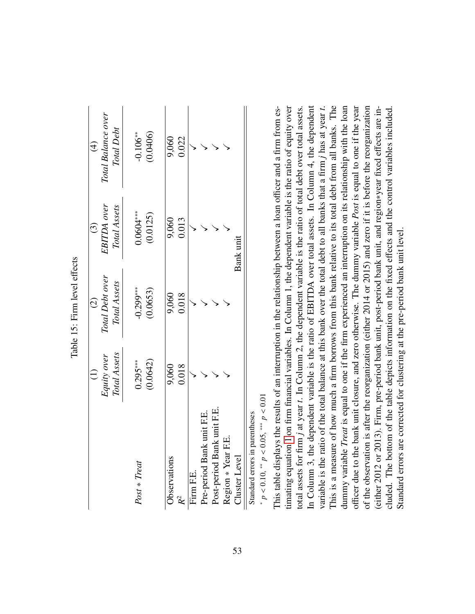|                                |              | $\widehat{c}$   | $\overline{c}$ | $\bigoplus$        |
|--------------------------------|--------------|-----------------|----------------|--------------------|
|                                | Equity over  | Total Debt over | EBITDA over    | Total Balance over |
|                                | Total Assets | Total Assets    | Total Assets   | Total Debt         |
| Post * Treat                   | $0.295***$   | $-0.299***$     | $0.0604***$    | $-0.106**$         |
|                                | (0.0642)     | (0.0653)        | (0.0125)       | (0.0406)           |
|                                |              |                 |                |                    |
| Observations                   | 9,060        | 9,060           | 9,060          | 9,060              |
|                                | 0.018        | 0.018           | 0.013          | 0.022              |
| Firm F.E.                      |              |                 |                |                    |
| Pre-period Bank unit F.E.      |              |                 |                |                    |
| Post-period Bank unit F.E.     |              |                 |                |                    |
| Region * Year F.E.             |              |                 |                |                    |
| Cluster Level                  |              |                 | Bank unit      |                    |
| Standard errors in narentheses |              |                 |                |                    |

Table 15: Firm level effects Table 15: Firm level effects

> <span id="page-52-0"></span>Standard errors in parentnesses Standard errors in parentheses

\*  $p < 0.10$ , \*\*  $p < 0.05$ , \*\*\*  $p < 0.01$ *p* < 0.10, ∗∗ *p* < 0.05, ∗∗∗ *p* < 0.01

This is a measure of how much a firm borrows from this bank relative to its total debt from all banks. The officer due to the bank unit closure, and zero otherwise. The dummy variable *Post* is equal to one if the year timating equation 1 on firm financial variables. In Column 1, the dependent variable is the ratio of equity over In Column 3, the dependent variable is the ratio of EBITDA over total assets. In Column 4, the dependent variable is the ratio of the total balance at this bank over the total debt to all banks that a firm *j* has at year *t*. of the observation is after the reorganization (either 2014 or 2015) and zero if it is before the reorganization This table displays the results of an interruption in the relationship between a loan officer and a firm from estimating equation [1](#page-13-0) on firm financial variables. In Column 1, the dependent variable is the ratio of equity over total assets for firm j at year t. In Column 2, the dependent variable is the ratio of total debt over total assets. In Column 3, the dependent variable is the ratio of EBITDA over total assets. In Column 4, the dependent This is a measure of how much a firm borrows from this bank relative to its total debt from all banks. The dummy variable Treat is equal to one if the firm experienced an interruption on its relationship with the loan dummy variable *Treat* is equal to one if the firm experienced an interruption on its relationship with the loan officer due to the bank unit closure, and zero otherwise. The dummy variable *Post* is equal to one if the year of the observation is after the reorganization (either 2014 or 2015) and zero if it is before the reorganization either 2012 or 2013). Firm, pre-period bank unit, post-period bank unit, and region\*year fixed effects are in-This table displays the results of an interruption in the relationship between a loan officer and a firm from estotal assets for firm *j* at year *t*. In Column 2, the dependent variable is the ratio of total debt over total assets. variable is the ratio of the total balance at this bank over the total debt to all banks that a firm *j* has at year *t*. (either 2012 or 2013). Firm, pre-period bank unit, post-period bank unit, and region∗year fixed effects are included. The bottom of the table depicts information on the fixed effects and the control variables included. cluded. The bottom of the table depicts information on the fixed effects and the control variables included. Standard errors are corrected for clustering at the pre-period bank unit level. Standard errors are corrected for clustering at the pre-period bank unit level.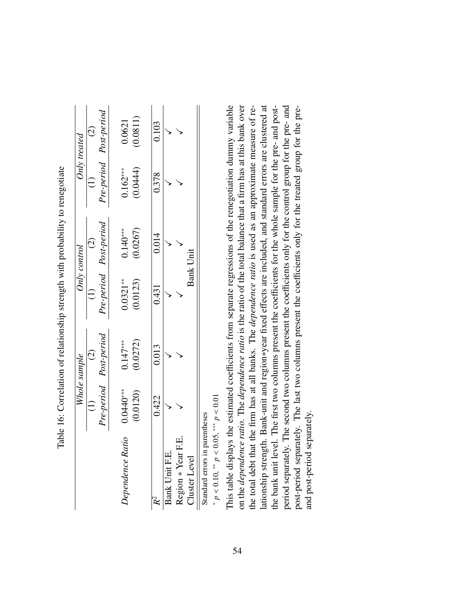|                    |             | Whole sample           |            | $Only\ control$        |            | Only treated           |
|--------------------|-------------|------------------------|------------|------------------------|------------|------------------------|
|                    |             | $\widehat{\infty}$     |            |                        |            | $\widehat{\infty}$     |
|                    |             | Pre-period Post-period |            | Pre-period Post-period |            | Pre-period Post-period |
|                    |             |                        |            |                        |            |                        |
| Dependence Ratio   | $0.0440***$ | $0.147***$             | $0.0321**$ | $0.140***$             | $0.162***$ | 0.0621                 |
|                    | (0.0120)    | (0.0272)               | (0.0123)   | (0.0267)               | 0.0444)    | (0.0811)               |
|                    |             |                        |            |                        |            |                        |
|                    | 0.422       | 0.013                  | 0.431      | 0.014                  | 0.378      | 0.103                  |
| Bank Unit F.E.     |             |                        |            |                        |            |                        |
| Region * Year F.E. |             |                        |            |                        |            |                        |
| Cluster Level      |             |                        |            | <b>Bank Unit</b>       |            |                        |
|                    |             |                        |            |                        |            |                        |

<span id="page-53-0"></span>Table 16: Correlation of relationship strength with probability to renegotiate Table 16: Correlation of relationship strength with probability to renegotiate

Standard errors in parentheses Standard errors in parentheses ∗ *p* v  $0.10,$   $*$ *p* v 0.05, ∗∗∗ *p* v  $\Xi$  This table displays the estimated coefficients from separate regressions of the renegotiation dummy variable on the *dependence ratio*. The *dependence ratio* is the ratio of the total balance that a firm has at this bank over lationship strength. Bank-unit and region\*year fixed effects are included, and standard errors are clustered at the bank unit level. The first two columns present the coefficients for the whole sample for the pre- and postperiod separately. The second two columns present the coefficients only for the control group for the pre- and the total debt that the firm has at all banks. The dependence ratio is used as an approximate measure of reffects are included, and standard errors are clustered at post-period separately. The last two columns present the coefficients only for the treated group for the prefficients from separate regressions of the renegotiation dummy variable on the *dependence ratio*. The *dependence ratio* is the ratio of the total balance that a firm has at this bank over the total debt that the firm has at all banks. The *dependence ratio* is used as an approximate measure of refficients for the whole sample for the pre- and postfficients only for the control group for the pre- and fficients only for the treated group for the prepost-period separately. The last two columns present the coe period separately. The second two columns present the coe the bank unit level. The first two columns present the coe lationship strength. Bank-unit and region∗year fixed e This table displays the estimated coe and post-period separately. and post-period separately.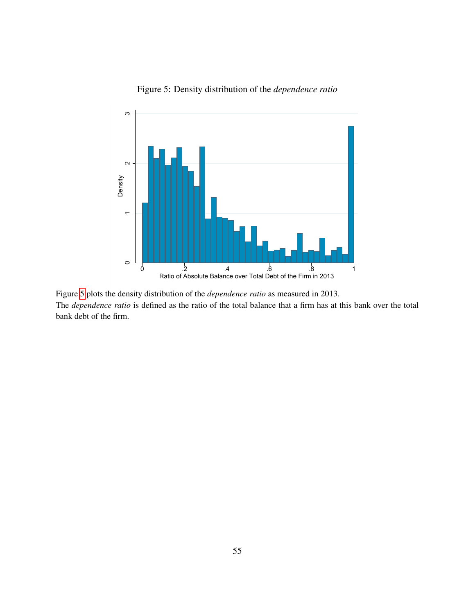<span id="page-54-0"></span>

Figure 5: Density distribution of the *dependence ratio*

Figure [5](#page-54-0) plots the density distribution of the *dependence ratio* as measured in 2013. The *dependence ratio* is defined as the ratio of the total balance that a firm has at this bank over the total bank debt of the firm.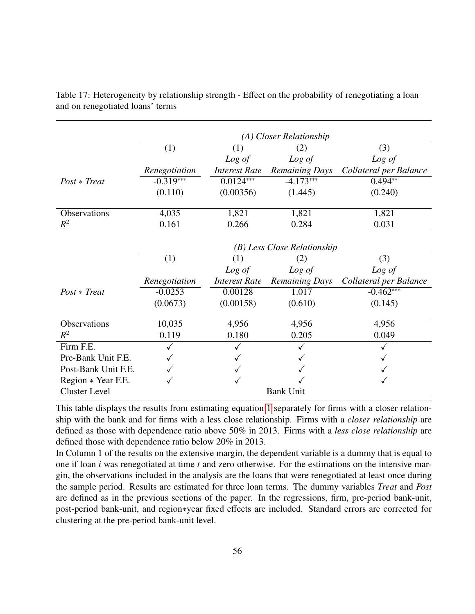<span id="page-55-0"></span>

|                      |               |                      | (A) Closer Relationship     |                        |
|----------------------|---------------|----------------------|-----------------------------|------------------------|
|                      | (1)           | (1)                  | (2)                         | (3)                    |
|                      |               | Log of               | Log of                      | Log of                 |
|                      | Renegotiation | <b>Interest Rate</b> | <b>Remaining Days</b>       | Collateral per Balance |
| $Post * Treat$       | $-0.319***$   | $0.0124***$          | $-4.173***$                 | $0.494**$              |
|                      | (0.110)       | (0.00356)            | (1.445)                     | (0.240)                |
| Observations         | 4,035         | 1,821                | 1,821                       | 1,821                  |
| $R^2$                | 0.161         | 0.266                | 0.284                       | 0.031                  |
|                      |               |                      |                             |                        |
|                      |               |                      | (B) Less Close Relationship |                        |
|                      | (1)           | (1)                  | (2)                         | (3)                    |
|                      |               | Log of               | Log of                      | Log of                 |
|                      | Renegotiation | <b>Interest Rate</b> | <b>Remaining Days</b>       | Collateral per Balance |
| $Post * Treat$       | $-0.0253$     | 0.00128              | 1.017                       | $-0.462***$            |
|                      | (0.0673)      | (0.00158)            | (0.610)                     | (0.145)                |
|                      |               |                      |                             |                        |
| Observations         | 10,035        | 4,956                | 4,956                       | 4,956                  |
| $R^2$                | 0.119         | 0.180                | 0.205                       | 0.049                  |
| Firm F.E.            |               |                      |                             |                        |
| Pre-Bank Unit F.E.   |               |                      |                             |                        |
| Post-Bank Unit F.E.  |               |                      |                             |                        |
| Region * Year F.E.   |               |                      |                             |                        |
| <b>Cluster Level</b> |               |                      | <b>Bank Unit</b>            |                        |

Table 17: Heterogeneity by relationship strength - Effect on the probability of renegotiating a loan and on renegotiated loans' terms

This table displays the results from estimating equation [1](#page-13-0) separately for firms with a closer relationship with the bank and for firms with a less close relationship. Firms with a *closer relationship* are defined as those with dependence ratio above 50% in 2013. Firms with a *less close relationship* are defined those with dependence ratio below 20% in 2013.

In Column 1 of the results on the extensive margin, the dependent variable is a dummy that is equal to one if loan *i* was renegotiated at time *t* and zero otherwise. For the estimations on the intensive margin, the observations included in the analysis are the loans that were renegotiated at least once during the sample period. Results are estimated for three loan terms. The dummy variables *Treat* and *Post* are defined as in the previous sections of the paper. In the regressions, firm, pre-period bank-unit, post-period bank-unit, and region∗year fixed effects are included. Standard errors are corrected for clustering at the pre-period bank-unit level.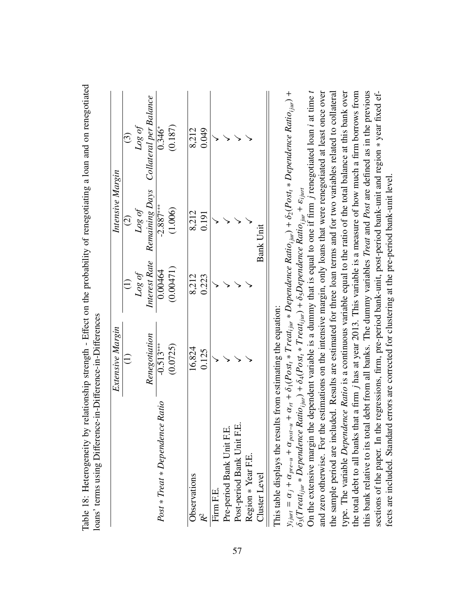| Renegotiation<br>$-0.513***$<br>(0.0725)<br>$\widehat{\Xi}$<br>Post * Treat * Dependence Ratio | Log of    |                  | Intensive Margin                                    |
|------------------------------------------------------------------------------------------------|-----------|------------------|-----------------------------------------------------|
|                                                                                                |           | $\widehat{c}$    | $\widehat{c}$                                       |
|                                                                                                |           | $\log$ of        | Log of                                              |
|                                                                                                |           |                  | Interest Rate Remaining Days Collateral per Balance |
|                                                                                                | 0.00464   | $-2.887***$      | $0.346*$                                            |
|                                                                                                | (0.00471) | (1.006)          | (0.187)                                             |
| 16,824<br>Observations                                                                         | 8,212     | 8,212            | 8,212                                               |
| 0.125<br>$\mathcal{R}^2$                                                                       | 0.223     | 0.191            | 0.049                                               |
| Firm F.E.                                                                                      |           |                  |                                                     |
| Pre-period Bank Unit F.E.                                                                      |           |                  |                                                     |
| Еİ.<br>Post-period Bank Unit                                                                   |           |                  |                                                     |
| Region * Year F.E.                                                                             |           |                  |                                                     |
| Cluster Level                                                                                  |           | <b>Bank Unit</b> |                                                     |

Table 18: Heterogeneity by relationship strength - Effect on the probability of renegotiating a loan and on renegotiated Table 18: Heterogeneity by relationship strength - Effect on the probability of renegotiating a loan and on renegotiated

<span id="page-56-0"></span>This table displays the results from estimating the equation: inha

 $y_{ijurt} = \alpha_j + \alpha_{pre-u} + \alpha_{post-u} + \delta_1 (Post_t * Treat_{ijut} * Dependence Ratio_{ijut}) + \delta_2 (Post_t * Dependence Ratio_{ijut}) +$ On the extensive margin the dependent variable is a dummy that is equal to one if firm j renegotiated loan *i* at time t  $y_{ijunt} = \alpha_j + \alpha_{pre-u} + \alpha_{pos-u} + \alpha_n + \delta_1 (Post_i * Tread_{ijut} * Dependence Ratio_{ijut}) + \delta_2 (Post_i * Dependence Ratio_{ijut}) +$  $\delta_3(Treat_{ijur}*Dependence Ratio_{ijur}) + \delta_4 (Post_t * Treat_{ijur}) + \delta_5 Dependence Ratio_{ijur} + \epsilon_{ijur}$  $\delta_3(Treal_{i,uv}*Dependence Ratio_{ijuv}) + \delta_4(Post)*Treat_{ijuv}) + \delta_5 Dependence Ratio_{ijuv} + \epsilon_{ijuv}$ 

and zero otherwise. For the estimations on the intensive margin, only loans that were renegotiated at least once over the sample period are included. Results are estimated for three loan terms and for two variables related to collateral type. The variable Dependence Ratio is a continuous variable equal to the ratio of the total balance at this bank over the total debt to all banks that a firm *j* has at year 2013. This variable is a measure of how much a firm borrows from this bank relative to its total debt from all banks. The dummy variables Treat and Post are defined as in the previous sections of the paper. In the regressions, firm, pre-period bank-unit, post-period bank-unit and region \* year fixed ef-On the extensive margin the dependent variable is a dummy that is equal to one if firm *j* renegotiated loan *i* at time *t* and zero otherwise. For the estimations on the intensive margin, only loans that were renegotiated at least once over the sample period are included. Results are estimated for three loan terms and for two variables related to collateral type. The variable *Dependence Ratio* is a continuous variable equal to the ratio of the total balance at this bank over the total debt to all banks that a firm *j* has at year 2013. This variable is a measure of how much a firm borrows from this bank relative to its total debt from all banks. The dummy variables *Treat* and *Post* are defined as in the previous sections of the paper. In the regressions, firm, pre-period bank-unit, post-period bank-unit and region ∗ year fixed effects are included. Standard errors are corrected for clustering at the pre-period bank-unit level. fects are included. Standard errors are corrected for clustering at the pre-period bank-unit level.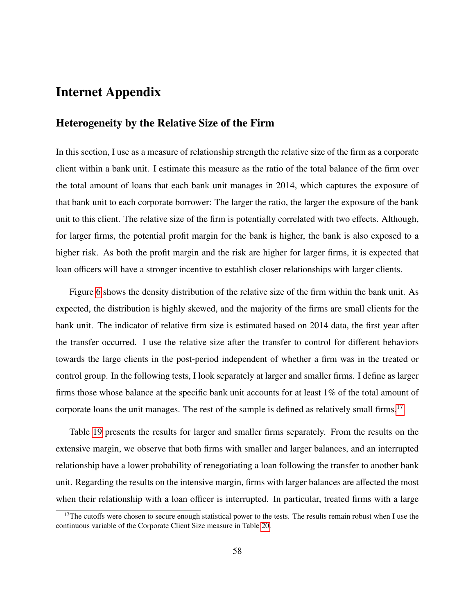# Internet Appendix

### Heterogeneity by the Relative Size of the Firm

In this section, I use as a measure of relationship strength the relative size of the firm as a corporate client within a bank unit. I estimate this measure as the ratio of the total balance of the firm over the total amount of loans that each bank unit manages in 2014, which captures the exposure of that bank unit to each corporate borrower: The larger the ratio, the larger the exposure of the bank unit to this client. The relative size of the firm is potentially correlated with two effects. Although, for larger firms, the potential profit margin for the bank is higher, the bank is also exposed to a higher risk. As both the profit margin and the risk are higher for larger firms, it is expected that loan officers will have a stronger incentive to establish closer relationships with larger clients.

Figure [6](#page-59-0) shows the density distribution of the relative size of the firm within the bank unit. As expected, the distribution is highly skewed, and the majority of the firms are small clients for the bank unit. The indicator of relative firm size is estimated based on 2014 data, the first year after the transfer occurred. I use the relative size after the transfer to control for different behaviors towards the large clients in the post-period independent of whether a firm was in the treated or control group. In the following tests, I look separately at larger and smaller firms. I define as larger firms those whose balance at the specific bank unit accounts for at least 1% of the total amount of corporate loans the unit manages. The rest of the sample is defined as relatively small firms.<sup>[17](#page-57-0)</sup>

Table [19](#page-60-0) presents the results for larger and smaller firms separately. From the results on the extensive margin, we observe that both firms with smaller and larger balances, and an interrupted relationship have a lower probability of renegotiating a loan following the transfer to another bank unit. Regarding the results on the intensive margin, firms with larger balances are affected the most when their relationship with a loan officer is interrupted. In particular, treated firms with a large

<span id="page-57-0"></span> $17$ The cutoffs were chosen to secure enough statistical power to the tests. The results remain robust when I use the continuous variable of the Corporate Client Size measure in Table [20.](#page-61-0)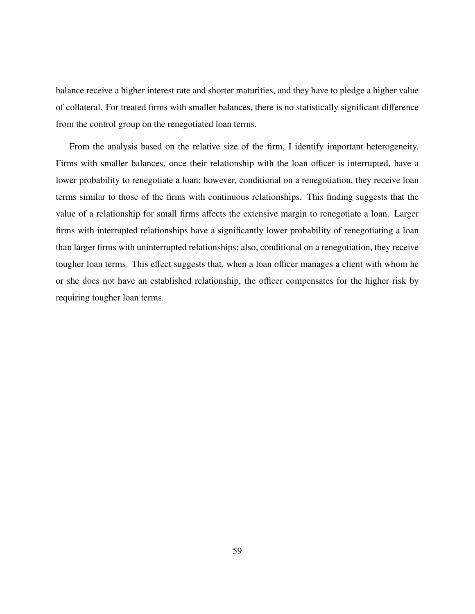balance receive a higher interest rate and shorter maturities, and they have to pledge a higher value of collateral. For treated firms with smaller balances, there is no statistically significant difference from the control group on the renegotiated loan terms.

From the analysis based on the relative size of the firm, I identify important heterogeneity. Firms with smaller balances, once their relationship with the loan officer is interrupted, have a lower probability to renegotiate a loan; however, conditional on a renegotiation, they receive loan terms similar to those of the firms with continuous relationships. This finding suggests that the value of a relationship for small firms affects the extensive margin to renegotiate a loan. Larger firms with interrupted relationships have a significantly lower probability of renegotiating a loan than larger firms with uninterrupted relationships; also, conditional on a renegotiation, they receive tougher loan terms. This effect suggests that, when a loan officer manages a client with whom he or she does not have an established relationship, the officer compensates for the higher risk by requiring tougher loan terms.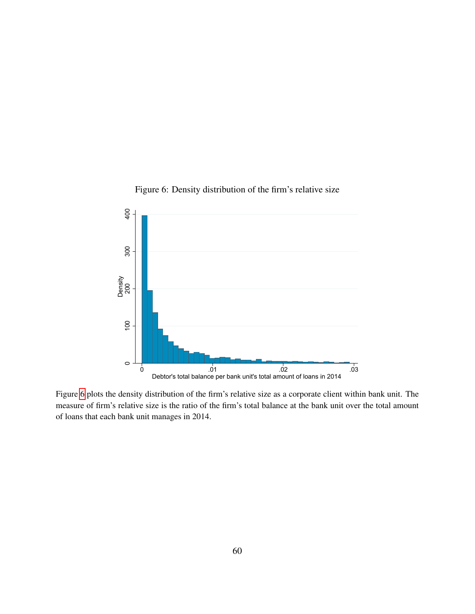<span id="page-59-0"></span>

Figure 6: Density distribution of the firm's relative size

Figure [6](#page-59-0) plots the density distribution of the firm's relative size as a corporate client within bank unit. The measure of firm's relative size is the ratio of the firm's total balance at the bank unit over the total amount of loans that each bank unit manages in 2014.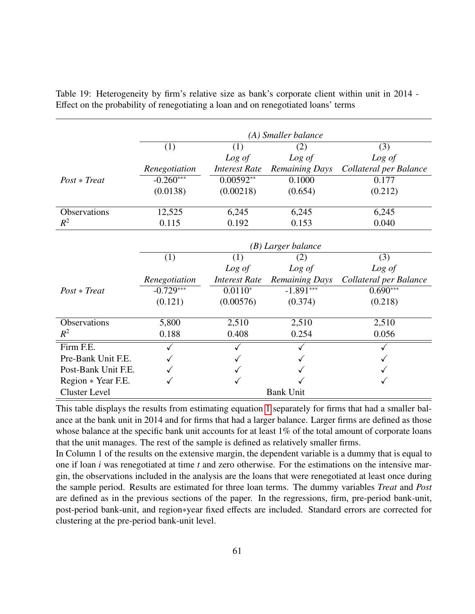<span id="page-60-0"></span>

|                      |               |                      | (A) Smaller balance   |                        |
|----------------------|---------------|----------------------|-----------------------|------------------------|
|                      | (1)           | (1)                  | (2)                   | (3)                    |
|                      |               | Log of               | Log of                | Log of                 |
|                      | Renegotiation | <b>Interest Rate</b> | <b>Remaining Days</b> | Collateral per Balance |
| $Post * Treat$       | $-0.260***$   | $0.00592**$          | 0.1000                | 0.177                  |
|                      | (0.0138)      | (0.00218)            | (0.654)               | (0.212)                |
| Observations         | 12,525        | 6,245                | 6,245                 | 6,245                  |
| $R^2$                | 0.115         | 0.192                | 0.153                 | 0.040                  |
|                      |               |                      |                       |                        |
|                      |               |                      | (B) Larger balance    |                        |
|                      | (1)           | (1)                  | (2)                   | (3)                    |
|                      |               | Log of               | Log of                | Log of                 |
|                      | Renegotiation | <b>Interest Rate</b> | <b>Remaining Days</b> | Collateral per Balance |
| $Post * Treat$       | $-0.729***$   | $0.0110*$            | $-1.891***$           | $0.690***$             |
|                      | (0.121)       | (0.00576)            | (0.374)               | (0.218)                |
| Observations         | 5,800         | 2,510                | 2,510                 | 2,510                  |
| $R^2$                | 0.188         | 0.408                | 0.254                 | 0.056                  |
| Firm F.E.            | $\checkmark$  | $\checkmark$         |                       |                        |
| Pre-Bank Unit F.E.   |               |                      |                       |                        |
| Post-Bank Unit F.E.  |               |                      |                       |                        |
| Region * Year F.E.   |               |                      |                       |                        |
| <b>Cluster Level</b> |               |                      | <b>Bank Unit</b>      |                        |

Table 19: Heterogeneity by firm's relative size as bank's corporate client within unit in 2014 - Effect on the probability of renegotiating a loan and on renegotiated loans' terms

This table displays the results from estimating equation [1](#page-13-0) separately for firms that had a smaller balance at the bank unit in 2014 and for firms that had a larger balance. Larger firms are defined as those whose balance at the specific bank unit accounts for at least 1% of the total amount of corporate loans that the unit manages. The rest of the sample is defined as relatively smaller firms.

In Column 1 of the results on the extensive margin, the dependent variable is a dummy that is equal to one if loan *i* was renegotiated at time *t* and zero otherwise. For the estimations on the intensive margin, the observations included in the analysis are the loans that were renegotiated at least once during the sample period. Results are estimated for three loan terms. The dummy variables *Treat* and *Post* are defined as in the previous sections of the paper. In the regressions, firm, pre-period bank-unit, post-period bank-unit, and region∗year fixed effects are included. Standard errors are corrected for clustering at the pre-period bank-unit level.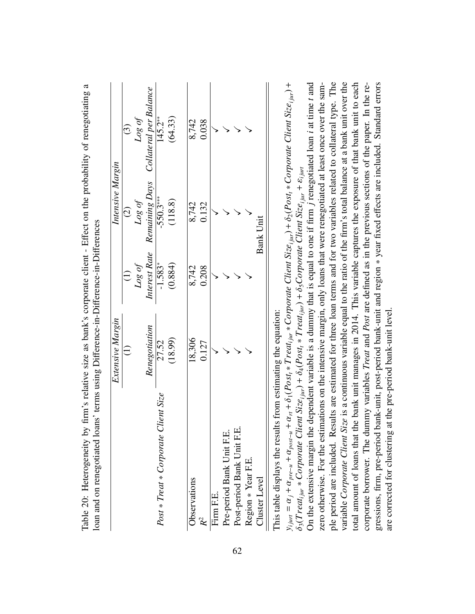| Renegotiation<br>$\widehat{1}$                            |               | Intensive Margin             |                        |
|-----------------------------------------------------------|---------------|------------------------------|------------------------|
|                                                           | $\widehat{c}$ | $\widehat{c}$                | $\odot$                |
|                                                           | Log of        | $\log of$                    | Log of                 |
|                                                           |               | Interest Rate Remaining Days | Collateral per Balance |
| 27.52<br><b>Client Size</b><br>Post * Treat * Corporate ( | $-1.583*$     | $-550.3***$                  | $145.2**$              |
| (18.99)                                                   | (0.884)       | (118.8)                      | (64.33)                |
| 18,306<br>Observations                                    | 8,742         | 8,742                        | 8,742                  |
| 0.127<br>$R^2$                                            | 0.208         | 0.132                        | 0.038                  |
| Firm F.E.                                                 |               |                              |                        |
| Pre-period Bank Unit F.E.                                 |               |                              |                        |
| Post-period Bank Unit F.E.                                |               |                              |                        |
| Region * Year F.E.                                        |               |                              |                        |
| Cluster Level                                             |               | Bank Unit                    |                        |

ffect on the probability of renegotiating a Table 20: Heterogeneity by firm's relative size as bank's corporate client - Effect on the probability of renegotiating a Table 20: Heterogeneity by firm's relative size as bank's corporate client - E

<span id="page-61-0"></span>This table displays the results from estimating the equation: This table displays the results from estimating the equation:

ple period are included. Results are estimated for three loan terms and for two variables related to collateral type. The total amount of loans that the bank unit manages in 2014. This variable captures the exposure of that bank unit to each On the extensive margin the dependent variable is a dummy that is equal to one if firm j renegotiated loan *i* at time *t* and  $\overline{\phantom{a}}$ *j* renegotiated loan *i* at time *t* and zero otherwise. For the estimations on the intensive margin, only loans that were renegotiated at least once over the samzero otherwise. For the estimations on the intensive margin, only loans that were renegotiated at least once over the sample period are included. Results are estimated for three loan terms and for two variables related to collateral type. The variable Corporate Client Size is a continuous variable equal to the ratio of the firm's total balance at a bank unit over the variable *Corporate Client Size* is a continuous variable equal to the ratio of the firm's total balance at a bank unit over the total amount of loans that the bank unit manages in 2014. This variable captures the exposure of that bank unit to each corporate borrower. The dummy variables *Treat* and *Post* are defined as in the previous sections of the paper. In the recorporate borrower. The dummy variables *Treat* and *Post* are defined as in the previous sections of the paper. In the regressions, firm, pre-period bank-unit, post-period bank-unit and region \* year fixed effects are included. Standard errors ffects are included. Standard errors δ2(*Postt* ∗ *Corporate Client Sizei jur* ε*i jurt* +δ5*Corporate Client Sizei jur* On the extensive margin the dependent variable is a dummy that is equal to one if firm  $\alpha$ gressions, firm, pre-period bank-unit, post-period bank-unit and region ∗ year fixed e  $\frac{+}{\frown}$  . δ1(*Postt* ∗ *T reati jur* ∗ *Corporate Client Sizei jur*  $\delta_4(Post_t * Treat_{ijur}) +$ are corrected for clustering at the pre-period bank-unit level.  $\overline{\phantom{a}}$ δ3(*T reati jur* ∗ *Corporate Client Sizei jur* + $\alpha_{rt}$ α*post*−*u* + α*pre*−*u* + α*j* + =*yi jurt*

are corrected for clustering at the pre-period bank-unit level.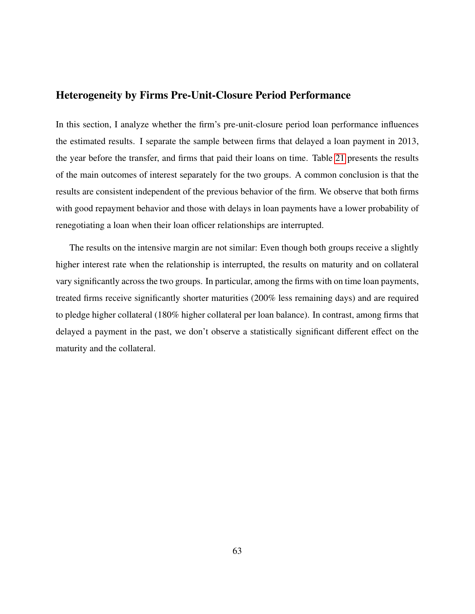# Heterogeneity by Firms Pre-Unit-Closure Period Performance

In this section, I analyze whether the firm's pre-unit-closure period loan performance influences the estimated results. I separate the sample between firms that delayed a loan payment in 2013, the year before the transfer, and firms that paid their loans on time. Table [21](#page-63-0) presents the results of the main outcomes of interest separately for the two groups. A common conclusion is that the results are consistent independent of the previous behavior of the firm. We observe that both firms with good repayment behavior and those with delays in loan payments have a lower probability of renegotiating a loan when their loan officer relationships are interrupted.

The results on the intensive margin are not similar: Even though both groups receive a slightly higher interest rate when the relationship is interrupted, the results on maturity and on collateral vary significantly across the two groups. In particular, among the firms with on time loan payments, treated firms receive significantly shorter maturities (200% less remaining days) and are required to pledge higher collateral (180% higher collateral per loan balance). In contrast, among firms that delayed a payment in the past, we don't observe a statistically significant different effect on the maturity and the collateral.